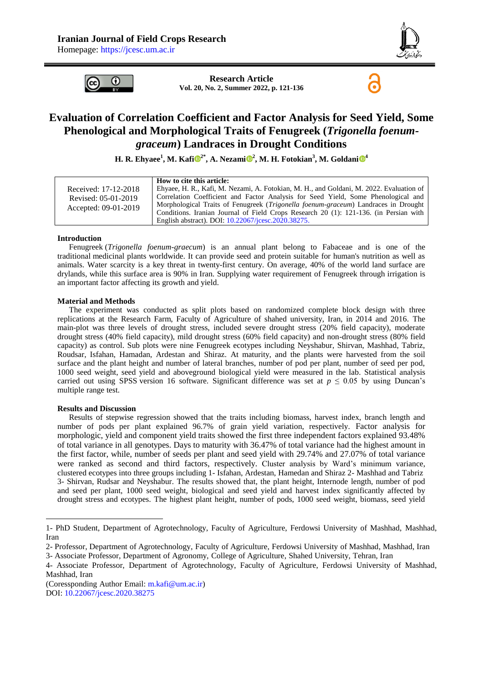

6



**Research Article Vol. 20, No. 2, Summer 2022, p. 121-136**

## **Evaluation of Correlation Coefficient and Factor Analysis for Seed Yield, Some Phenological and Morphological Traits of Fenugreek (***Trigonella foenumgraceum***) Landraces in Drought Conditions**

**H. R. Ehyaee<sup>1</sup> , M. Kaf[i](https://www.orcid.org/0000-0002-0933-1346) 2\*, A. Nezami [2](https://orcid.org/0000-0001-9490-6935) , M. H. Fotokian<sup>3</sup> , M. Goldani [4](https://orcid.org/0000-0002-2547-8014)**

|                      | How to cite this article:                                                               |
|----------------------|-----------------------------------------------------------------------------------------|
| Received: 17-12-2018 | Ehyaee, H. R., Kafi, M. Nezami, A. Fotokian, M. H., and Goldani, M. 2022. Evaluation of |
| Revised: 05-01-2019  | Correlation Coefficient and Factor Analysis for Seed Yield, Some Phenological and       |
| Accepted: 09-01-2019 | Morphological Traits of Fenugreek (Trigonella foenum-graceum) Landraces in Drought      |
|                      | Conditions. Iranian Journal of Field Crops Research 20 (1): 121-136. (in Persian with   |
|                      | English abstract). DOI: 10.22067/jcesc.2020.38275.                                      |

#### **Introduction**

Fenugreek (*Trigonella foenum-graecum*) is an annual plant belong to Fabaceae and is one of the traditional medicinal plants worldwide. It can provide seed and protein suitable for human's nutrition as well as animals. Water scarcity is a key threat in twenty-first century. On average, 40% of the world land surface are drylands, while this surface area is 90% in Iran. Supplying water requirement of Fenugreek through irrigation is an important factor affecting its growth and yield.

#### **Material and Methods**

The experiment was conducted as split plots based on randomized complete block design with three replications at the Research Farm, Faculty of Agriculture of shahed university, Iran, in 2014 and 2016. The main-plot was three levels of drought stress, included severe drought stress (20% field capacity), moderate drought stress (40% field capacity), mild drought stress (60% field capacity) and non-drought stress (80% field capacity) as control. Sub plots were nine Fenugreek ecotypes including Neyshabur, Shirvan, Mashhad, Tabriz, Roudsar, Isfahan, Hamadan, Ardestan and Shiraz. At maturity, and the plants were harvested from the soil surface and the plant height and number of lateral branches, number of pod per plant, number of seed per pod, 1000 seed weight, seed yield and aboveground biological yield were measured in the lab. Statistical analysis carried out using SPSS version 16 software. Significant difference was set at  $p \le 0.05$  by using Duncan's multiple range test.

#### **Results and Discussion**

-

Results of stepwise regression showed that the traits including biomass, harvest index, branch length and number of pods per plant explained 96.7% of grain yield variation, respectively. Factor analysis for morphologic, yield and component yield traits showed the first three independent factors explained 93.48% of total variance in all genotypes. Days to maturity with 36.47% of total variance had the highest amount in the first factor, while, number of seeds per plant and seed yield with 29.74% and 27.07% of total variance were ranked as second and third factors, respectively. Cluster analysis by Ward's minimum variance, clustered ecotypes into three groups including 1- Isfahan, Ardestan, Hamedan and Shiraz 2- Mashhad and Tabriz 3- Shirvan, Rudsar and Neyshabur. The results showed that, the plant height, Internode length, number of pod and seed per plant, 1000 seed weight, biological and seed yield and harvest index significantly affected by drought stress and ecotypes. The highest plant height, number of pods, 1000 seed weight, biomass, seed yield

<sup>1-</sup> PhD Student, Department of Agrotechnology, Faculty of Agriculture, Ferdowsi University of Mashhad, Mashhad, Iran

<sup>2-</sup> Professor, Department of Agrotechnology, Faculty of Agriculture, Ferdowsi University of Mashhad, Mashhad, Iran

<sup>3-</sup> Associate Professor, Department of Agronomy, College of Agriculture, Shahed University, Tehran, Iran

<sup>4-</sup> Associate Professor, Department of Agrotechnology, Faculty of Agriculture, Ferdowsi University of Mashhad, Mashhad, Iran

<sup>(</sup>Coressponding Author Email: [m.kafi@um.ac.ir\)](mailto:m.kafi@um.ac.ir) DOI: [10.22067/jcesc.2020.38275](https://dx.doi.org/10.22067/jcesc.2020.38275)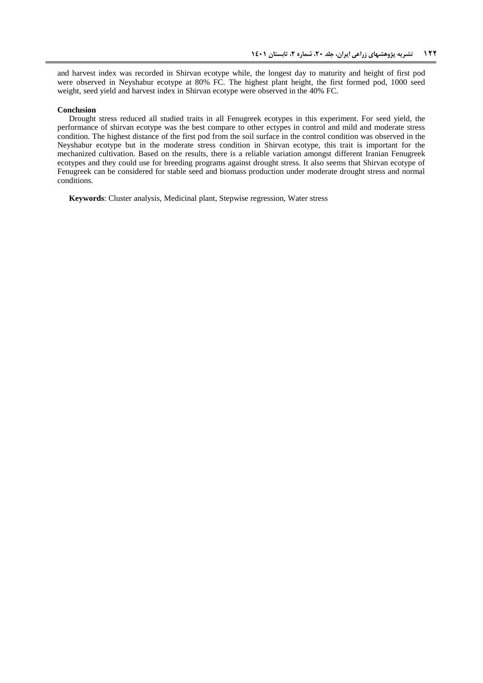and harvest index was recorded in Shirvan ecotype while, the longest day to maturity and height of first pod were observed in Neyshabur ecotype at 80% FC. The highest plant height, the first formed pod, 1000 seed weight, seed yield and harvest index in Shirvan ecotype were observed in the 40% FC.

#### **Conclusion**

Drought stress reduced all studied traits in all Fenugreek ecotypes in this experiment. For seed yield, the performance of shirvan ecotype was the best compare to other ectypes in control and mild and moderate stress condition. The highest distance of the first pod from the soil surface in the control condition was observed in the Neyshabur ecotype but in the moderate stress condition in Shirvan ecotype, this trait is important for the mechanized cultivation. Based on the results, there is a reliable variation amongst different Iranian Fenugreek ecotypes and they could use for breeding programs against drought stress. It also seems that Shirvan ecotype of Fenugreek can be considered for stable seed and biomass production under moderate drought stress and normal conditions.

**Keywords**: Cluster analysis, Medicinal plant, Stepwise regression, Water stress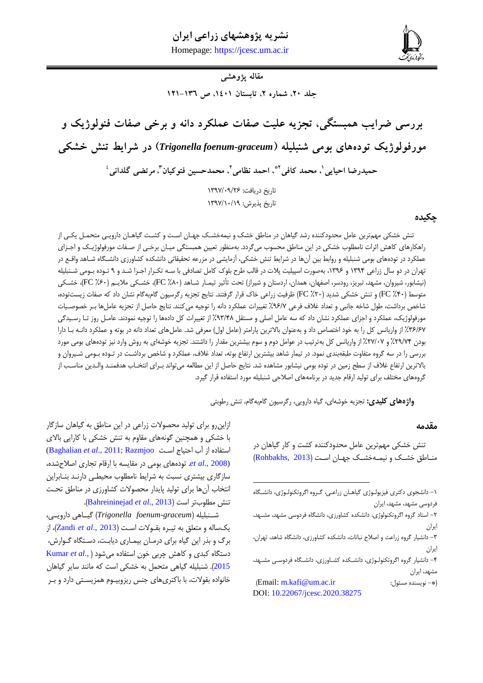# **نشریه پژوهشهای زراعی ایران**

**احیایی و همکاران، بررسی ضرایب همبستگی، تجزیه علیت صفات عملکرد دانه و برخی صفات فنولوژیک و مورفولوژیک ... 211** Homepage: [https://jcesc.um.ac.ir](https://jcesc.um.ac.ir/)



**مقاله پژوهشی**

**جلد ،02 شماره ،0 تابستان ،1021 ص 101-131**

**بررسی ضرایب همبستگی، تجزیه علیت صفات عملکرد دانه و برخی صفات فنولوژیک و مورفولوژیک تودههای بومی شنبلیله )***graceum-foenum Trigonella* **)در شرایط تنش خشکی**

حمیدرضا احیایی <sup>י</sup>، محمد کافی <sup>۲</sup>ٌ، احمد نظامی <sup>۲</sup>، محمدحسین فتوکیان <sup>۲</sup>، مرتضی گلدانی <sup>،</sup>

تاریخ دریافت: 7901/90/62 تاریخ پذیرش: 7901/79/70

## **چکیده**

تنش خشکی مهمترین عامل محدودکننده رشد گیاهان در مناطق خشک و نیمهخشک جهـان اسـت و کشـت گیاهـان دارویـی متحمـل یکـی از راهکارهای کاهش اثرات نامطلوب خشکی در این مناطق محسوب میگردد. بهمنظور تعیین همبستگی میـان برخـی از صـفات مورفولوژیـک و اجـزای عملکرد در تودههای بومی شنبلیله و روابط بین آنها در شرایط تنش خشکی، آزمایشی در مزرعه تحقیقاتی دانشکده کشاورزی دانشگاه شـاهد واقـع در تهران در دو سال زراعی ۱۳۹۴ و ۱۳۹۶، بهصورت اسپیلیت پلات در قالب طرح بلوک کامل تصادفی با سـه تکـرار اجـرا شـد و ۹ تـوده بـومی شـنبلیله (نیشابور، شیروان، مشهد، تبریز، رودسر، اصفهان، همدان، اردستان و شیراز) تحت تأثیر تیمـار شـاهد ( FC ،X^۰)، خشککی متوسط (۴۰٪ FC )و تنش خشکی شدید (۲۰٪ FC) ظرفیت زراعی خاک قرار گرفتند. نتایج تجزیه رگرسیون گامبهگام نشان داد که صفات زیستتوده، شاخص برداشت، طول شاخه جانبی و تعداد غلاف فرعی %92/ تغییرات عملکرد دانه را توجیه میکنند. نتایج حاصل از تجزیه عاملها بـر خصوصـیات مورفولوژیک، عملکرد و اجزای عملکرد نشان داد که سه عامل اصلی و مستقل %0.1% از تغییرات کل دادهها را توجیه نمودند. عامـل روز تـا رسـیدگی ٣۶/۶٧٪ از واریانس کل را به خود اختصاص داد و بهعنوان بالاترین پارامتر (عامل اول) معرفی شد. عاملهای تعداد دانه در بوته و عملکرد دانـه بـا دارا بودن ۲۹/۷۴٪ و ۲۷/۰۷٪ از واریانس کل بهترتیب در عوامل دوم و سوم بیشترین مقدار را داشتند. تجزیه خوشهای به روش وارد نیز تودههای بومی مورد بررسی را در سه گروه متفاوت طبقهبندی نمود. در تیمار شاهد بیشترین ارتفاع بوته، تعداد غلاف، عملکرد و شاخص برداشت در تـوده بـومی شـیروان و بالاترین ارتفاع غلاف از سطح زمین در توده بومی نیشابور مشاهده شد. نتایج حاصل از این مطالعه میتواند بـرای انتخـاب هدفمنـد والـدین مناسـب از گروههای مختلف برای تولید ارقام جدید در برنامههای اصلاحی شنبلیله مورد استفاده قرار گیرد.

**.** 

**واژههای کلیدی:** تجزیه خوشهای، گیاه دارویی، رگرسیون گامبهگام، تنش رطوبتی

#### **مقدمه**

تنش خشکی مهمترین عامل محدودکننده کشت و کار گیاهان در مناطق خشک و نیمهخشک جهان است (Rohbakhs, 2013)

)Email: [m.kafi@um.ac.ir](mailto:m.kafi@um.ac.ir) :مسئول نویسنده -)\* DOI: [10.22067/jcesc.2020.38275](https://dx.doi.org/10.22067/jcesc.2020.38275)

ازاین,رو برای تولید محصولات زراعی در این مناطق به گیاهان سازگار با خشکی و همچنین گونههای مقاوم به تنش خشکی با کارایی باالی اس اده ا آب اح یاج اسکت [Razmjoo](#page-14-1); 2011 .,*al et* [Baghalian\(](#page-13-0) *et al., 2008*). تودههای بومی در مقایسه با ارقام تجاری اصلاحشده، سازگاری بیشتری نسبت به شرایط نامطلوب محیطبی دارنـد بنـابراین انتخاب آنها برای تولید پایدار محصولات کشاورزی در مناطق تحت تنش مطلوبتر است )2013 .,*al et* [Bahreininejad](#page-13-1)).

شککنبلیله )*graceum-foenum Trigonella* )گیککاهی دارویککی، یکسایه و م علق به تیکره بقکوالت اسکت ) [2013 .,](#page-15-0)*al et* Zandi)، ا برگ و بذر این گیاه برای درمـان بیمـاری دیابـت، دسـتگاه گـوارش، دستگاه کبدی و کاهش چربی خون استفاده می شود (,**.Kumar** et al [2015](#page-14-2)). شنبلیله گیاهی متحمل به خشکی است که مانند سایر گیاهان خانواده بقولات، با باکتریهای جنس ریزوبیـوم همزیسـتی دارد و بـر

<sup>-7</sup> دانشجوی دک ری فی یویکو ی گیاهکان راعکی، گکروه اگروتکنویکو ی، دانشکگاه فردوسی مشهد، مشهد، ایران

<sup>-6</sup> اس اد گروه اگروتکنویو ی، دانشکده کشاور ی، دانشگاه فردوسی مشهد، مشکهد، ایران

<sup>-9</sup> دانشیار گروه راعت و ااالح نباتات، دانشکده کشاور ی، دانشگاه شاهد، تهران، ایران

<sup>-1</sup> دانشیار گروه اگروتکنویکو ی، دانشککده کشکاور ی، دانشکگاه فردوسکی مشکهد، مشهد، ایران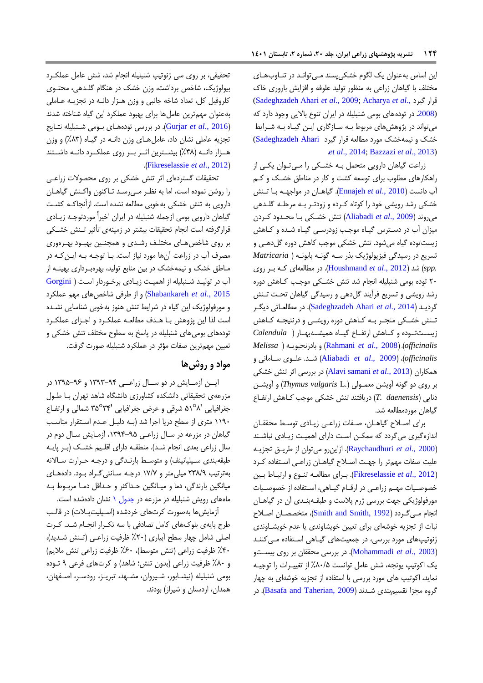این اساس به عنوان یک لگوم خشکیپسند می توانـد در تنـاوب هـای مختلف با گیاهان زراعی به منظور تولید علوفه و افزایش باروری خاک [\(Sadeghzadeh Ahari](#page-14-3) *et al*., 2009; [Acharya](#page-13-2) *et al*., گیرد رار (.[2008](#page-13-2) در تودههای بومی شنبلیله در ایران تنوع باالیی وجود دارد که میتواند در پژوهشهای مربوط بکه سکا گاری ایکن گیکاه بکه شکرایط خشک و نیمهخشک مورد مطالعه قرار گیرد Sadeghzadeh Ahari) .*et al*[., 2014;](#page-14-3) [Bazzazi](#page-13-3) *et al*., 2013)

زراعت گیاهان دارویی متحمل بـه خشـکی را مـیتوان یکـی از راهکارهای مطلوب برای توسعه کشت و کار در مناطق خشکک و ککم آب دانست )2010 .,*al et* [Ennajeh](#page-14-4)). گیاهکان در مواجهک ه بکا تکنش خشکی رشد رویشی خود را کوتاه ککرده و ودتکر بکه مرحلکه گلک دهی میروند )2009 .,*al et* [Aliabadi](#page-13-4) )تنش خشکک ی بکا محکدود ککردن میزان آب در دسترس گیاه موجب زودرسی گیاه شده و کاهش یستتوده گیاه میشود. تنش خشکی موجب کاهش دوره گلدهک ی و تسریر در رسیدگی فی یویو یک بذر سکه گونکه بابونکه ) *Matricaria .spp* )شد )2012 .,*al et* [Houshmand](#page-14-5)). در مطایعهای ککه بکر رو ی 69 توده بومی شنبلیله انجام شد تنش خشکک ی موجکب ککاهش دوره رشد رویشی و تسریر فرآیند گلدهی و رسیدگی گیاهان تحکت تکنش گردیـد (2014 .Sadeghzadeh Ahari *et al).* در مطالعـاتی دیگـر تکش خشکی منجر به کاهش دوره رویشی و درنتیجه کاهش یسککتتککوده و کککاهش ارت ککاع گیککاه همیشککهبهککار ) *Calendula Melissa* ( ه بادرنجبویک و( [Rahmani](#page-14-6) *et al*., 2008( ،)*officinalis officinalis*)،( 2009 .,*al et* [Aliabadi](#page-13-4) )شککد. علککوی سککامانی و همکاران )2013 .,*al et* [samani Alavi](#page-13-5) )در بررسی اثر تنش خشکی بر روی دو گونه آویشن معمکویی ).L *vulgaris Thymus* )و آویشکن دنایی *(T. daenensis)* دریافتند تنش خشکی موجب کـاهش ارتفـاع گیاهان موردمطایعه شد.

برای اصلاح گیاهان، صفات زراعی زیادی توسط محققان اندازه گیری میگردد که ممکن است دارای اهمیت زیادی نباشند )2000 .,*al et* [Raychaudhuri](#page-14-7)). ا اینرو میتوان ا طریکق تج یکه علیت صفات مهمتر را جهت اصلاح گیاهـان زراعـی اسـتفاده کـرد )2012 .,*al et* [Fikreselassie](#page-14-8)). بکرای مطایعکه تنکوع و ارتبکاط بکین خصوصیات مهـم زراعـی در ارقـام گیـاهی، اسـتفاده از خصوصـيات مورفولوژیکی جهت بررسی ژرم پلاست و طبقـهبنـدی آن در گیاهـان انجام میگردد (Smith and Smith, 1992)، متخصصان اصلاح نبات از تجزیه خوشهای برای تعیین خویشاوندی یا عدم خویشاوندی ژنوتیپهای مورد بررسی، در جمعیتهای گیـاهی اسـتفاده مـ )کننـد )2003 .,*al et* [Mohammadi](#page-14-9)). در بررسی محققان بر روی بیسکت و یک اکوتیپ یونجه، شش عامل توانست %09/5 ا تغییکرات را توجیکه نماید، اکوتیپ های مورد بررسی با استفاده از تجزیه خوشهای به چهار گروه مجزا تقسیمبندی شـدند (Basafa and Taherian, 2009). در

تحقیقی، بر روی سی نوتیپ شنبلیله انجام شد، شش عامل عملککرد بیولوژیک، شاخص برداشت، وزن خشک در هنگام گلـدهی، محتـوی کلروفیل کل، تعداد شاخه جانبی و وزن هـزار دانـه در تجزیـه عـاملی بهعنوان مهمترین عاملها برای بهبود عملکرد این گیاه شناخته شدند (<mark>Gurjar *et al.*, 2016). در بررسی تودههای بـومی شـنبلیله نت</mark>ـایج تجزیه عاملی نشان داد، عامل های وزن دانـه در گیـاه (۸۳٪) و وزن هـزار دانــه (۴۸٪) بیشــترین اثــر بــر روی عملکــرد دانــه داشــتند .)[Fikreselassie](#page-14-8) *et al*., 2012(

تحقیقات گستردهای اثر تنش خشکی بر روی محصولات زراعی را روشن نموده است، اما به نظکر مکی رسکد تکاکنون واککنش گیاهکان دارویی به تنش خشکی بهخوبی مطایعه نشده است. ا آنجاککه کشکت گیاهان دارویی بومی ازجمله شنبلیله در ایران اخیراً موردتوجـه زیــادی قرارگرفته است انجام تحقیقات بیشتر در زمینهی تأثیر تـنش خشـکی بر روی شاخص های مختلف رشدی و همچنین بهبود بهرهوری مصرف آب در زراعت آنها مورد نیاز است. بـا توجـه بـه ایــن کـه در مناطق خشک و نیمهخشک در بین منابع تولید، بهرهبرداری بهینـه از آب در تولید شـنبلیله از اهمیـت زیـادی برخـوردار اسـت ( [Gorgini](#page-14-11) 2015 .,*al et* [Shabankareh](#page-14-11) )و ا طرفی شاخصهای مهم عملکرد و مورفولوژیک این گیاه در شرایط تنش هنوز بهخوبی شناسایی نشده است لذا این پژوهش بـا هـدف مطالعـه عملکـرد و اجـزای عملکـرد تودههای بومیهای شنبلیله در پاسخ به سطوح مختلف تنش خشکی و تعیین مهمترین صفات مؤثر در عملکرد شنبلیله صورت گرفت.

## **مواد و روشها**

ایسن آزمـایش در دو سـال زراعــی ۹۴-۱۳۹۳ و ۶۶-۱۳۹۵ در مزرعهی تحقیقاتی دانشکده کشاورزی دانشگاه شاهد تهران بـا طـول جغرافیایی '۵۱°۸ شرقی و عرض جغرافیایی '۳۵°۳۴ شمالی و ارتفاع ۱۱۹۰ متری از سطح دریا اجرا شد (بـه دلیـل عـدم اسـتقرار مناسـب گیاهان در مزرعه در سال زراعی ۹۵-۱۳۹۴، آزمایش سال دوم در سال زراعی بعدی انجام شد). منطقـه دارای اقلـیم خشـک (بـر پایـه طبقهبندی سیلیانینف) و متوسط بارنـدگی و درجـه حـرارت سـالانه بهترتیب ٢٣٨/٩ میلی متر و ١٧/٧ درجه سانتی گراد بود. دادههای میانگین بارندگی، دما و میـانگین حـداکثر و حـداقل دمـا مربـوط بـه ماههای رویش شنبلیله در مزرعه در جدول ۱ نشان دادهشده است.

آزمایشها بهصورت کرتهای خردشده (اسپلیتپلات) در قالب طرح پایهی بلوکهای کامل تصادفی با سه تککرار انجکام شکد. ککرت اصلی شامل چهار سطح آبیاری (۲۰٪ ظرفیت زراعے (تـنش شـدید)، ۴۰٪ ظرفیت زراعی (تنش متوسط)، ۶۰٪ ظرفیت زراعی تنش ملایم) و %09 ظرفیت راعی )بدون تنش؛ شاهد( و کرتهای فرعی 0 تکوده بومی شنبلیله (نیشـابور، شـیروان، مشـهد، تبریـز، رودسـر، اصـفهان، همدان، اردستان و شیراز) بودند.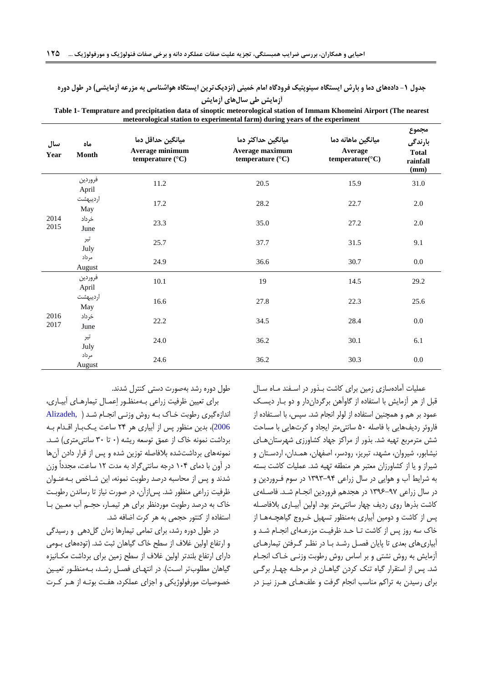## **جدول -0 دادههای دما و بارش ایستگاه سینوپتیک فرودگاه امام خمینی )نزدیکترین ایستگاه هواشناسی به مزرعه آزمایشی( در طول دوره آزمایش طی سالهای آزمایش**

| سال<br>Year  | ماه<br>Month     | میانگین حداقل دما<br>Average minimum<br>temperature $(^{\circ}C)$ | میانگین حداکثر دما<br>Average maximum<br>temperature (°C) | میانگین ماهانه دما<br>Average<br>temperature(°C) | مجموع<br>بارندگ <i>ی</i><br><b>Total</b><br>rainfall<br>(mm) |
|--------------|------------------|-------------------------------------------------------------------|-----------------------------------------------------------|--------------------------------------------------|--------------------------------------------------------------|
|              | فروردين<br>April | 11.2                                                              | 20.5                                                      | 15.9                                             | 31.0                                                         |
|              | ارديبهشت<br>May  | 17.2                                                              | 28.2                                                      | 22.7                                             | 2.0                                                          |
| 2014<br>2015 | خرداد<br>June    | 23.3                                                              | 35.0                                                      | 27.2                                             | $2.0\,$                                                      |
|              | تير<br>July      | 25.7                                                              | 37.7                                                      | 31.5                                             | 9.1                                                          |
|              | مرداد<br>August  | 24.9                                                              | 36.6                                                      | 30.7                                             | 0.0                                                          |
|              | فروردين<br>April | 10.1                                                              | 19                                                        | 14.5                                             | 29.2                                                         |
|              | ارديبهشت<br>May  | 16.6                                                              | 27.8                                                      | 22.3                                             | 25.6                                                         |
| 2016<br>2017 | خرداد<br>June    | 22.2                                                              | 34.5                                                      | 28.4                                             | 0.0                                                          |
|              | تير<br>July      | 24.0                                                              | 36.2                                                      | 30.1                                             | 6.1                                                          |
|              | مرداد<br>August  | 24.6                                                              | 36.2                                                      | 30.3                                             | 0.0                                                          |

**Table 1- Temprature and precipitation data of sinoptic meteorological station of Immam Khomeini Airport (The nearest meteorological station to experimental farm) during years of the experiment**

> <span id="page-4-0"></span>عملیات آمادهسازی زمین برای کاشت بـذور در اسـفند مـاه سـال قبل از هر آزمایش با استفاده از گاوآهن برگرداندار و دو بـار دیسـک عمود بر هم و همچنین استفاده از لولر انجام شد. سپس، با اسـتفاده از فاروئر ردیفهایی با فاصله ۵۰ سانتی متر ایجاد و کرتهایی با مساحت شش مترمربع تهیه شد. بذور از مراکز جهاد کشاورزی شهرستان هـای نیشابور، شیروان، مشهد، تبریز، رودسر، اصفهان، همـدان، اردسـتان و شیراز و یا از کشاورزان معتبر هر منطقه تهیه شد. عملیات کاشت بسته به شرایط آب و هوایی در سال راعی 7909-01 در سوم فکروردین و در سال زراعی ۹۷-۱۳۹۶ در هجدهم فروردین انجام شد. فاصلهی کاشت بذرها روی ردیف چهار سانتی متر بود. اولین آبیـاری بلافاصـله پس از کاشت و دومین آبیاری بهمنظور تسهیل خـروج گیاهچـههـا از خاک سه روز پس از کاشت تـا حـد ظرفیـت مزرعـهای انجـام شـد و آبیاریهای بعدی تا پایان فصل رشد با در نظر گرفتن تیمارهای آ مایش به روش نش ی و بر اساس روش رطوبت و نکی خکاک انجکام شد. پس از استقرار گیاه تنک کردن گیاهـان در مرحلـه چهـار برگـی برای رسیدن به تراکم مناسب انجام گرفت و علفهای هـرز نیـز در

طول دوره رشد بهصورت دستی کنترل شدند.

برای تعیین ظرفیت زراعی بهمنظور اِعمال تیمارهای آبیاری، اندا هگیری رطوبت خکاک بکه روش و نکی انجکام [شکد](#page-13-7) ) [,Alizadeh](#page-13-7) [2006](#page-13-7))، بدین منظور پس از آبیاری هر ۲۴ ساعت یک بار اقدام ب برداشت نمونه خاک از عمق توسعه ریشه (۰ تا ۳۰ سانتی متری) شد. نمونههای برداشتشده بلافاصله توزین شده و پس از قرار دادن آنها در آون با دمای ۱۰۴ درجه سانتی گراد به مدت ۱۲ ساعت، مجدداً وزن شدند و پس از محاسبه درصد رطوبت نمونه، این شـاخص بـهعنـوان ظرفیت زراعی منظور شد. پس|زآن، در صورت نیاز تا رساندن رطوبت خاک به درصد رطوبت موردنظر برای هر تیمـار، حجـم آب معـین بـا استفاده از کنتور حجمی به هر کرت اضافه شد.

در طول دوره رشد، برای تمامی تیمارها زمان گلدهی و رسیدگی و ارتفاع اولین غلاف از سطح خاک گیاهان ثبت شد. (تودههای بـومی دارای ارتفاع بلندتر اولین غلاف از سطح زمین برای برداشت مکـانیزه گیاهان مطلوبتر است). در انتهای فصل رشد، بـهمنظور تعیـین خصوصیات مورفولوژیکی و اجزای عملکرد، هفت بوتـه از هـر کـرت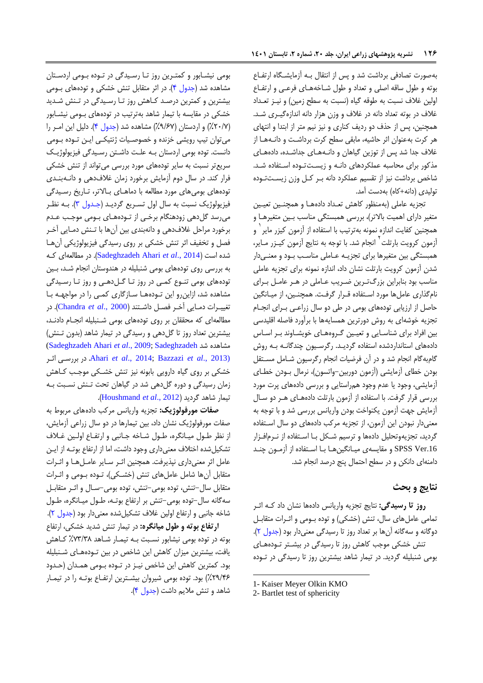به صورت تصادفی برداشت شد و پس از انتقال بـه آزمایشگاه ارتفـاع بوته و طول ساقه اصلی و تعداد و طول شـاخههـای فرعـی و ارتفـاع اولین غلاف نسبت به طوقه گیاه (نسبت به سطح زمین) و نیـز تعـداد غلاف در بوته تعداد دانه در غلاف و وزن هزار دانه اندازهگیری شد. همچنین، پس از حذف دو ردیف کناری و نیز نیم متر از ابتدا و انتهای هر کرت بهعنوان اثر حاشیه، مابقی سطح کرت برداشکت و دانکه هکا ا غلاف جدا شد پس از توزین گیاهان و دانـههـای جداشـده، دادههـای مذکور برای محاسبه عملکردهای دانـه و زیسـتتوده استفاده شـد. شاخص برداشت نیز از تقسیم عملکرد دانه بـر کـل وزن زیسـتتوده تولیدی (دانه+کاه) بهدست آمد.

تجزیه عاملی (بهمنظور کاهش تعداد دادههـا و همچنـین تعیـین متغیر دارای اهمیت بالاتر)، بررسی همبستگی مناسب بـین متغیرهـا و همچنین کفایت اندازه نمونه بهترتیب با استفاده از آزمون کیزر مایر <sup>٬</sup> و أزمون كرويت بارتلت<sup>٢</sup> انجام شد. با توجه به نتايج أزمون كيـزر مـاير، همبستگی بین متغیرها برای تجزیـه عـاملی مناسـب بـود و معنـی دار شدن آزمون کرویت بارتلت نشان داد، اندازه نمونه برای تجزیه عاملی مناسب بود بنابراین بزرگترین ضریب عـاملی در هـر عامـل بـرای نامگذاری عاملها مورد استفاده قـرار گرفت. همچنـین، از میـانگین حاصل از ارزیابی تودههای بومی در طی دو سال زراعبی بـرای انجـام تجزیه خوشهای به روش دورترین همسایهها با برآورد فاصله اقلیدسی بین افراد برای شناسایی و تعیین گروههای خویشاوند بر اساس دادههای استانداردشده استفاده گردیـد. رگرسـیون چندگانـه بـه روش گامبهگام انجام شد و در آن فرضیات انجام رگرسیون شـامل مسـتقل بودن خطای آزمایشی (آزمون دوربین-واتسون)، نرمال بودن خطای آزمایشی، وجود یا عدم وجود همراستایی و بررسی دادههای پرت مورد بررسی قرار گرفت. با استفاده از آزمون بارتلت دادههای هـر دو سـال آ مایش جهت آ مون یکنواخت بودن واریانس بررسی شد و با توجه به معنیدار نبودن این آزمون، از تجزیه مرکب دادههای دو سال استفاده گردید، تجزیهوتحلیل دادهها و ترسیم شکل بـا اسـتفاده از نـرم|فـزار SPSS Ver.16 و مقایسهی میانگین هـا بـا اسـتفاده از آزمـون چنـد دامنهای دانکن و در سطح احتمال پنج درصد انجام شد.

## **نتایج و بحث**

**روز تا رسیدگی:** نتایج تجزیه واریانس دادهها نشان داد کـه اثـر تمامی عاملهای سال، تنش (خشکی) و توده بهومی و اثـرات متقابـل دوگانه و سهگانه آنها بر تعداد رو تا رسیدگی معنیدار بود [\)جدول 6\(](#page-6-0). تنش خشکی موجب کاهش روز تا رسیدگی در بیشـتر تـودههـای بومی شنبلیله گردید. در تیمار شاهد بیشترین روز تا رسیدگی در تـوده

**.** 

بومی نیشابور و کمتـرین روز تـا رسـیدگی در تـوده بـومی اردسـتان مشاهده شد (جدول ۴). در اثر متقابل تنش خشکی و تودههای بـومی بیشترین و کمترین درصد کاهش روز تـا رسـیدگی در تـنش شـدید خشکی در مقایسه با تیمار شاهد بهترتیب در تودههای بهومی نیشـابور (٢٠/٧٪) و اردستان (٩/۶٧٪) مشاهده شد (جدول ۴). دلیل این امـر را می توان تیپ رویشی خزنده و خصوصیات ژنتیکـی ایـن تـوده بـومی دانست. توده بومی اردستان بـه علـت داشـتن رسـیدگی فیزیولوژیـک سریع تر نسبت به سایر تودههای مورد بررسی می تواند از تنش خشکی فرار کند. در سال دوم آزمایش برخورد زمان غلافدهی و دانـهبنـدی تودههای بومیهای مورد مطالعه با دماهـای بـالاتر، تـاریخ رسـیدگی فیزیولوژیک نسبت به سال اول تسـریع گردیـد (جـدول ۳). بــه نظـر میرسد گلدهی زودهنگام برخـی از تـودههـای بـومی موجـب عـدم برخورد مراحل غالفدهی و دانهبندی بین آنها با تکنش دمکایی آخکر فصل و تخفیف اثر تنش خشکی بر روی رسیدگی فیزیولوژیکی آنها شده است )2014 .,*al et* [Ahari Sadeghzadeh](#page-14-3)). در مطایعهای ککه به بررسی روی تودههای بومی شنبلیله در هندوستان انجام شد، بین تودههای بومی تنـوع کمـی در روز تـا گـلدهـی و روز تـا رسـيدگی مشاهده شد، ازاین رو این تودهها سازگاری کمی را در مواجهه با تغییکرات دمکایی آخکر فصکل داشک ند )2000 .,*al et* [Chandra](#page-14-12)). در مطایعهای که محققان بر روی تودههای بومی شکنبلیله انجکام دادنکد، بیشترین تعداد روز تا گل دهی و رسیدگی در تیمار شاهد (بدون تـنش) [\(Sadeghzadeh Ahari](#page-14-3) *et al*., 2009[; Sadeghzadeh](#page-14-3) شد مشاهده اثکر بررسکی در .Ahari *et al*[., 2014](#page-14-3)[; Bazzazi](#page-13-3) *et al*., 2013) خشکی بر روی گیاه دارویی بابونه نیز تنش خشکی موجب کـاهش مان رسیدگی و دوره گلدهی شد در گیاهان تحت تکنش نسکبت بکه تیمار شاهد گردید )2012 .,*al et* [Houshmand](#page-14-5)).

<mark>صفات مورفولوژیک:</mark> تجزیه واریانس مرکب دادههای مربوط به صفات مورفولوژیک نشان داد، بین تیمارها در دو سال زراعی آزمایش، از نظر طول میانگره، طول شاخه جانبی و ارتفاع اولین غلاف تشکیل شده اختلاف معنی داری وجود داشت، اما از ارتفاع بوتـه از ایـن عامل اثر معنیداری نپذیرفت. همچنین اثکر سکایر عامکل هکا و اثکرات متقابل آنها شامل عاملهای تنش (خشکی)، تـوده بـومی و اثـرات متقابل سال-تنش، توده بومی-تنش، توده بومی-سـال و اثـر متقابـل سهگانه سال–توده بومی–تنش بر ارتفاع بوتـه، طـول میـانگره، طـول شاخه جانبی و ارتفاع اولین غلاف تشکیل شده معنیدار بود (جدول ۲).

ا**رتفاع بوته و طول میانگره:** در تیمار تنش شدید خشکی، ارتفاع بوته در توده بومی نیشابور نسکبت بکه تیمکار شکاهد %19/90 ککاهش یافت، بیشترین میزان کاهش این شاخص در بین تـودههـای شـنبلیله بود. کمترین کاهش این شاخص نیـز در تـوده بـومی همـدان (حـدود ۲۹/۴۶٪) بود. توده بومی شیروان بیشـترین ارتفـاع بوتـه را در تیمـار شاهد و تنش مالیم داشت [\)جدول 1\(](#page-9-0).

<sup>1-</sup> Kaiser Meyer Olkin KMO

<sup>2-</sup> Bartlet test of sphericity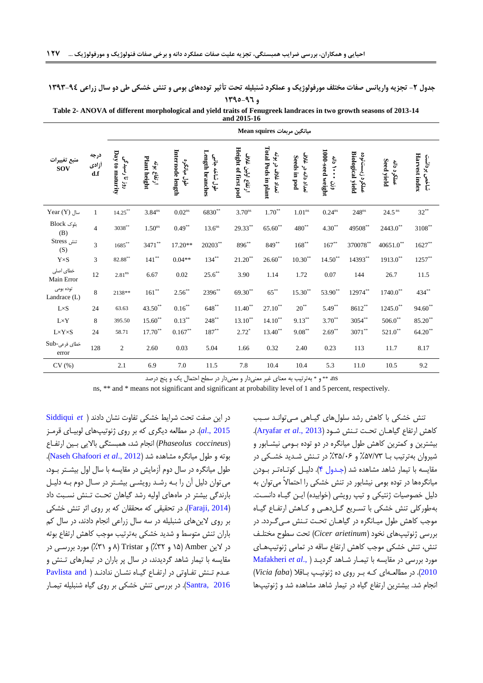### **جدول 2- تجزیه واریانس صفات مختلف مورفولوژیک و عملکرد شنبلیله تحت تأثیر تودههای بومی و تنش خشکی طی دو سال زراعی 92-134 و 971-179**

<span id="page-6-0"></span>**Table 2- ANOVA of different morphological and yield traits of Fenugreek landraces in two growth seasons of 2013-14 and 2015-16**

|                            |                      |                                  |                             |                                 |                                   |                                          | Mean squires میانگین مربعات                                         |                                    |                                 |                                            |                           |                               |
|----------------------------|----------------------|----------------------------------|-----------------------------|---------------------------------|-----------------------------------|------------------------------------------|---------------------------------------------------------------------|------------------------------------|---------------------------------|--------------------------------------------|---------------------------|-------------------------------|
| منبع تغييرات<br><b>SOV</b> | درجه<br>أزادى<br>d.f | Day to maturity<br>روز تا رسیدگی | Plant height<br>ارتفاع ہوته | Internode length<br>طول ميانگره | Length branches<br>طول شاخه جانبی | Height of first pod<br>ارتفاع اولين غلاف | <b>Total Pods in plant</b><br>$\mathbf{\hat{z}}_i$<br>تعداد غلاف در | تعداد دائه در غلاف<br>Seeds in pod | 1000-seed weight<br>ミン・<br>ęίĊ. | <b>Biological yield</b><br>عملکرد زیستتوده | Seed yield<br>عملكرد دانه | Harvest index<br>ثىاخص برداثت |
| $Year(Y)$ سال              | $\mathbf{1}$         | $14.25^{\ast\ast}$               | $3.84$ <sup>ns</sup>        | $0.02^{\rm ns}$                 | 6830**                            | $3.70$ <sup>ns</sup>                     | $1.70**$                                                            | $1.01$ <sup>ns</sup>               | $0.24^{ns}$                     | $248$ <sup>ns</sup>                        | 24.5 <sup>ns</sup>        | $32***$                       |
| بلوک Block<br>(B)          | $\overline{4}$       | $3038***$                        | 1.50 <sup>ns</sup>          | $0.49***$                       | 13.6 <sup>ns</sup>                | 29.33**                                  | $65.60**$                                                           | $480^{**}$                         | $4.30**$                        | $49508^{**}$                               | $2443.0$ **               | $3108***$                     |
| تنش Stress<br>(S)          | $\overline{3}$       | $1685^{**}$                      | 3471**                      | 17.20**                         | $20203^\ast{}^\ast$               | $896^{**}$                               | $849***$                                                            | $168***$                           | $167***$                        | 370078**                                   | $40651.0$ **              | $1627**$                      |
| $Y \times S$               | 3                    | $\textbf{82.88}^{**}$            | $141***$                    | $0.04**$                        | $134***$                          | $21.20**$                                | $26.60**$                                                           | $10.30^{\ast\ast}$                 | $14.50**$                       | 14393**                                    | $1913.0***$               | $1257***$                     |
| خطای اصلی<br>Main Error    | 12                   | $2.81^{\rm ns}$                  | 6.67                        | $0.02\,$                        | $25.6***$                         | 3.90                                     | 1.14                                                                | 1.72                               | $0.07\,$                        | 144                                        | 26.7                      | $11.5\,$                      |
| توده بومى<br>Landrace (L)  | 8                    | 2138**                           | $161***$                    | $2.56***$                       | $2396^{**}$                       | 69.30**                                  | $65***$                                                             | $15.30**$                          | $53.90**$                       | 12974**                                    | $1740.0$ <sup>**</sup>    | 434**                         |
| $L \times S$               | 24                   | 63.63                            | $43.50^{\ast\ast}$          | $0.16***$                       | $648^{**}$                        | $11.40**$                                | $27.10**$                                                           | $20^{**}$                          | $5.49**$                        | $8612**$                                   | $1245.0$ **               | $94.60**$                     |
| $L \times Y$               | 8                    | 395.50                           | $15.60^{\ast\ast}$          | $0.13***$                       | $248***$                          | $13.10**$                                | $14.10**$                                                           | $9.13***$                          | $3.70**$                        | $3054^{\ast\ast}$                          | $506.0^{**}$              | $85.20***$                    |
| $L \times Y \times S$      | 24                   | 58.71                            | $17.70***$                  | $0.167^{\ast\ast}$              | $187***$                          | $2.72*$                                  | $13.40**$                                                           | $9.08^{\ast\ast}$                  | $2.69***$                       | $3071^{\ast\ast}$                          | $521.0^\ast{}^\ast$       | $64.20**$                     |
| خطای فرعی-Sub<br>error     | 128                  | $\mathbf{2}$                     | 2.60                        | 0.03                            | 5.04                              | 1.66                                     | 0.32                                                                | 2.40                               | 0.23                            | 113                                        | 11.7                      | 8.17                          |
| CV(%)                      |                      | 2.1                              | 6.9                         | $7.0\,$                         | 11.5                              | $7.8\,$                                  | 10.4                                                                | 10.4                               | 5.3                             | 11.0                                       | 10.5                      | 9.2                           |

ns، \*\* و \* بهترتیب به معنای غیر معنیدار و معنیدار در سطح احتمال یک و پنج درصد

ns, \*\* and \* means not significant and significant at probability level of 1 and 5 percent, respectively.

در این صفت تحت شرایط خشکی تفاوت نشان دادند ( [Siddiqui](#page-15-2) et [2015 .,](#page-15-2)*al*). در مطایعه دیگری که بر روی نوتیپهای یوبیکای رمک )*coccineus Phaseolus* )انجام شد، همبس گی باالیی بک ین ارت کاع بوته و طول میانگره مشاهده شد (Naseh Ghafoori et al., 2012). طول میانگره در سال دوم آزمایش در مقایسه با سال اول بیشتر بود، میتوان دییل آن را بکه رشکد رویشکی بیشک ر در سکال دوم بکه دییکل بارندگی بیشتر در ماههای اولیه رشد گیاهان تحت تخش نسبت داد )2014 [,Faraji](#page-14-15)). در تحقیقی که محققان که بر روی اثر تنش خشکی بر روی الینهای شنبلیله در سه سال راعی انجام دادند، در سال کم باران تنش متوسط و شدید خشکی بهترتیب موجب کاهش ارتفاع بوته در الین Amber( 75 و %96( و Tristar( 0 و %97( مورد بررسکی در مقایسه با تیمار شاهد گردیدند، در سال پر باران در تیمارهای تکنش و عکدم تکنش تفاوتی در ارتفاع گیاه نشکان ن[داد](#page-14-16)نک ( Pavlista and [2016 ,Santra](#page-14-16)). در بررسی تنش خشکی بر روی گیاه شنبلیله تیمکار

تنش خشکی با کاهش رشد سلولهای گیاهی می تواند سبب کاهش ارتفاع گیاهـان تحـت تـنش شـود (Aryafar et al., 2013). بیشترین و کمترین کاهش طول میانگره در دو توده بـومی نیشـابور و شیروان بهترتیب بکا %51/19 و %95/92 در تکنش شکدید خشککی در مقایسه با تیمار شاهد مشاهده شد (جهدول ۴). دلیل کوتاهتر بودن میانگرهها در توده بومی نیشابور در تنش خشکی را احتمالاً میتوان به دلیل خصوصیات ژنتیکی و تیپ رویشی (خوابیده) ایـن گیـاه دانسـت. بهطورکلی تنش خشکی با تسریع گـل(هے و کـاهش ارتفـاع گیـاه موجب کاهش طول میـانگره در گیاهــان تحــت تــنش مــی *گــ*ردد. در بررسی ژنوتیپهای نخود *(Cicer arietinum)* تحت سطوح مختلف تنش، تنش خشکی موجب کاهش ارتفاع ساقه در تمامی ژنوتیپهای مورد بررسی در مقایسه با تیمکار شکاهد گردی[کد](#page-14-13) ) .,*al et* [Mafakheri](#page-14-13) [2010](#page-14-13)(. در مطایعکه ای ککه بکر رو ی ده نوتیکپ بکا ال )*faba Vicia*) انجام شد. بیشترین ارتفاع گیاه در تیمار شاهد مشاهده شد و ژنوتیپها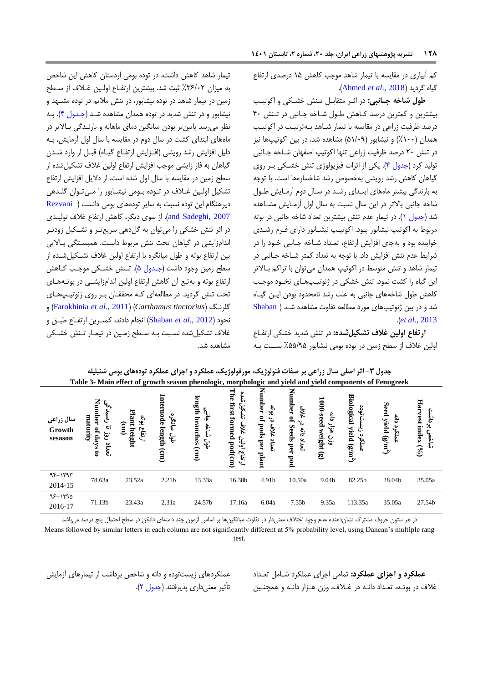کم آبیاری در مقایسه با تیمار شاهد موجب کاهش ۱۵ درصدی ارتفاع .)[Ahmed](#page-13-9) *et al*., 2018( گردید گیاه

**طول شاخه جاانبی:** در اثکر م قابکل تکنش خشککی و اکوتیکپ بیشترین و کمترین درصد کاهش طول شاخه جانبی در تنش ۴۰ درصد ظرفیت زراعی در مقایسه با تیمار شـاهد بـهترتیـب در اکوتیـپ همدان (۱۰۰٪) و نیشابور (۵۱/۰۹) مشاهده شد، در بین اکوتیپها نیز در تنش ۲۰ درصد ظرفیت زراعی تنها اکوتیپ اصفهان شـاخه جـانبی تولید کرد (جدول ۴). یکی از اثرات فیزیولوژی تنش خشکی بـر روی گیاهان کاهش رشد رویشی بهخصوص رشد شاخسارهها است. با توجه به بارندگی بیشتر ماههای ابتدای رشد در سال دوم آزمایش طول شاخه جانبی بالاتر در این سال نسبت به سال اول آزمـایش مشـاهده شد (جدول ۱). در تیمار عدم تنش بیشترین تعداد شاخه جانبی در بوته مربوط به اکوتیپ نیشابور بکود. اکوتیکپ نیشکابور دارای فکرم رشکدی خوابیده بود و بهجای افزایش ارتفاع، تعـداد شـاخه جـانبی خـود را در شرایط عدم تنش افزایش داد. با توجه به تعداد کمتر شـاخه جـانبی در تیمار شاهد و تنش متوسط در اکوتیپ همدان میتوان با تراکم بـالاتر این گیاه را کشت نمود. تنش خشکی در ژنوتیپهای نخود موجب کاهش طول شاخههای جانبی به علت رشد نامحدود بودن ایـن گیـاه شد و در بین ژنوتیپهای مورد مطالعه تفاوت مشاهده شد ( [Shaban](#page-15-3) .)*et al*[., 2013](#page-15-3)

<span id="page-7-0"></span>**ارتفاع اولین غلاف تشکیلشده:** در تنش شدید خشکی ارتفـاع اولین غلاف از سطح زمین در توده بومی نیشابور ۵۵/۹۵٪ نسبت بـه

تیمار شاهد کاهش داشت، در توده بومی اردستان کاهش این شاخص به میزان ٣۶/٠٢٪ ثبت شد. بیشترین ارتفاع اولین غلاف از سطح مین در تیمار شاهد در توده نیشابور، در تنش مالیم در توده مشکهد و نیشابور و در تنش شدید در توده همدان مشاهده شد (جهدول ۴). به نظر میرسد پایینتر بودن میانگین دمای ماهانه و بارنکدگی بکاالتر در ماههای ابتدای کشت در سال دوم در مقایسه با سال اول آزمایش، بـه دلیل افزایش رشد رویشی (افـزایش ارتفـاع گیـاه) قبــل از وارد شــدن گیاهان به فاز زایشی موجب افزایش ارتفاع اولین غلاف تشکیلشده از سطح زمین در مقایسه با سال اول شده است. از دلایل افزایش ارتفاع تشکیل اولین غـلاف در تـوده بـومی نیشـابور را مـیتـوان گلـدهی دیرهنگام این توده نسبت به سایر تودههای بومی دانست [\)](#page-14-17) [Rezvani](#page-14-17) 2007 ,and Sadeghi). از سوی دیگر، کاهش ارتفاع غلاف تولیدی در اثر تنش خشکی را میتوان به گلدهی سریعتر و تشکیل زودتـر اندامزایشی در گیاهان تحت تنش مربوط دانست. همبستگی بالایی بین ارتفاع بوته و طول میانگره با ارتفاع اولین غلاف تشکیل شـده از سطح زمین وجود داشت (جـدول ۵). تـنش خشـکی موجـب کـاهش ارتفاع بوته و بهتبع آن کاهش ارتفاع اولین اندامزایشبی در بوتههای تحت تنش گردید. در مطایعهای ککه محققکان بکر روی نوتیکپ هکای و( [Farokhinia](#page-14-18) *et al*., 2011( )*Carthamus tinctorius* ( گلرنک نخود (2012 ,Shaban *et al)* انجام دادند، کمتـرین ارتفـاع طبـق و غلاف تشکیل شده نسبت بـه سـطح زمـین در تیمـار تـنش خشـکی مشاهده شد.

| سال زراعی<br>Growth<br>sesason | Nun<br>E<br>$\boldsymbol{\mathcal{C}}^{\prime}$<br>nber<br>maturity<br>C:<br>S,<br>ist.<br>days<br>⊻<br>E.<br>$\overline{5}$ | табје э- мангенест ог growm season phenologic, morphologic and yield and yield components of Fenugreek<br>보<br>lant<br>$\ddot{\boldsymbol{\xi}}$<br>(mn)<br>ارتفاع<br>height | Internode<br>$\ddot{\delta}$<br>length<br>$\frac{f}{f}$<br>(cm) | len<br>គ្រឹ<br>branches<br>۰F<br>f.<br>Ë.<br>ىھى<br>(mn) | <b>The</b><br>first formed pod(cm)<br>৳<br>غ⁄و.<br>اولين<br>ارتفاع | Number<br>$\mathbf{\hat{z}}$<br>L,<br>と<br>spod<br>غلاف<br>ف<br>نعداد<br>per<br>plant | Number<br>غ<br>پ<br>$\mathbf{S}$<br>Seeds per<br>$\frac{c}{c}$<br>$\sum_{i=1}^{n}$<br>$_{\rm pod}$ | 1000-seed weight<br>نې<br>ج<br>$\check{\mathfrak{r}}'$<br>êίĊ.<br>$\widehat{\mathbf{e}}$ | <b>Biological yield</b><br>ပ္ပ<br>$(\mathbf{g/m}^2)$ | Seed yield $(g/m^2)$<br>ع<br>ت<br>နိ | Ha<br>vest<br>بر<br>پر<br>index<br>ÿ۰<br>ξ.<br>(96) |
|--------------------------------|------------------------------------------------------------------------------------------------------------------------------|------------------------------------------------------------------------------------------------------------------------------------------------------------------------------|-----------------------------------------------------------------|----------------------------------------------------------|--------------------------------------------------------------------|---------------------------------------------------------------------------------------|----------------------------------------------------------------------------------------------------|------------------------------------------------------------------------------------------|------------------------------------------------------|--------------------------------------|-----------------------------------------------------|
| $95 - 1797$<br>2014-15         | 78.63a                                                                                                                       | 23.52a                                                                                                                                                                       | 2.21 <sub>b</sub>                                               | 13.33a                                                   | 16.38b                                                             | 4.91b                                                                                 | 10.50a                                                                                             | 9.04b                                                                                    | 82.25b                                               | 28.04b                               | 35.05a                                              |
| $95 - 1790$<br>2016-17         | 71.13b                                                                                                                       | 23.43a                                                                                                                                                                       | 2.31a                                                           | 24.57b                                                   | 17.16a                                                             | 6.04a                                                                                 | 7.55b                                                                                              | 9.35a                                                                                    | 113.35a                                              | 35.05a                               | 27.54b                                              |

| جدول ۳- اثر اصلی سال زراعی بر صفات فنولوژیک، مورفولوژیک، عملکرد و اجزای عملکرد تودههای بومی شنبلیله       |  |  |
|-----------------------------------------------------------------------------------------------------------|--|--|
| Table 3- Main effect of growth season phenologic, morphologic and yield and yield components of Fenugreek |  |  |

در هر ستون حروف مشترک نشاندهنده عدم وجود اختلاف معنیدار در تفاوت میانگینها بر اساس آزمون چند دامنهای دانکن در سطح احتمال پنج درصد میباشد Means followed by similar letters in each column are not significantly different at 5% probability level, using Dancan's multiple rang

test.

عملکردهای زیستتوده و دانه و شاخص برداشت از تیمارهای آزمایش تأثیر معنیداری پذیرفتند (جدول ۲). **عملکرد و اجزای عملکرد:** تمامی اج ای عملکرد شکامل تعکداد غلاف در بوتـه، تعـداد دانـه در غـلاف، وزن هـزار دانـه و همچنـین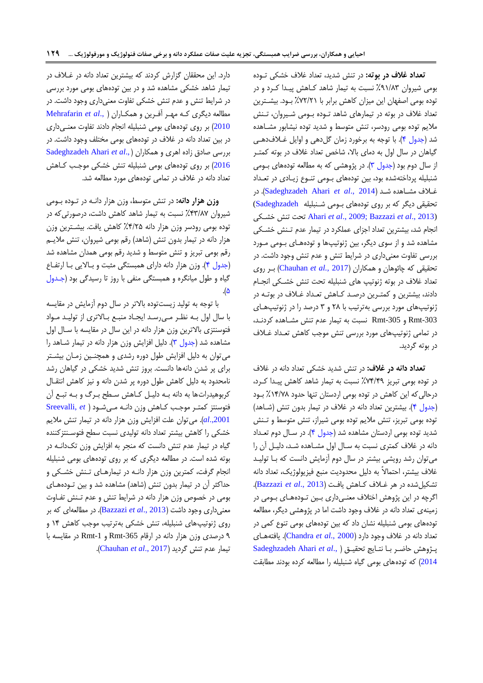**تعداد غالف در بوته:** در تنش شدید، تعداد غالف خشکی تکوده بومی شیروان %07/09 نسبت به تیمار شاهد ککاهش پیکدا ککرد و در توده بومی اصفهان این میزان کاهش برابر با ۷۲/۲۱٪ بود. بیشترین تعداد غلاف در بوته در تیمارهای شاهد تـوده بـومی شـیروان، تـنش مالیم توده بومی رودسر، تنش م وسط و شدید توده نیشابور مشکاهده شد (جدول ۴). با توجه به برخورد زمان گلدهی و اوایل غـلافدهـی گیاهان در سال اول به دمای بالا، شاخص تعداد غلاف در بوته کمتـر از سال دوم بود (جدول ۳). در پژوهشی که به مطالعه تودههای بـومی شنبلیله پرداختهشده بود، بین تودههای بهومی تنهع زیـادی در تعـداد غکالف مشکاهده شکد )2014 .,*al et* [Ahari Sadeghzadeh](#page-14-3)). در تحقیقی دیگر که بر روی تودههای بومی شنبلیله Sadeghzadeh) خشککی تنش تحت Ahari *et al*[., 2009](#page-14-3)[; Bazzazi](#page-13-3) *et al*., 2013) انجام شد، بیشترین تعداد اجزای عملکرد در تیمار عدم تـنش خشـکی مشاهده شد و از سوی دیگر، بین ژنوتیپها و تودههای بـومی مـورد بررسی تفاوت معنیداری در شرایط تنش و عدم تنش وجود داشت. در تحقیقی که چائوهان و همکاران )2017 *.,al et* [Chauhan](#page-14-19) )بکر روی تعداد غلاف در بوته ژنوتیپ های شنبلیله تحت تنش خشکی انجام دادند، بیشترین و کمتـرین درصـد کـاهش تعـداد غـلاف در بوتـه در ژنوتیپهای مورد بررسی بهترتیب با ۲۸ و ۳ درصد را در ژنوتیپهای -303Rmt و -305Rmt نسبت به تیمار عدم تنش مشکاهده کردنکد، در تمامی نوتیپهای مورد بررسی تنش موجب کاهش تعکداد غکالف در بوته گردید.

**تعداد دانه در غالف:** در تنش شدید خشکی تعداد دانه در غالف در توده بومی تبری %11/10 نسبت به تیمار شاهد کاهش پیکدا ککرد، درحالی که این کاهش در توده بومی اردستان تنها حدود ١٣/٧٨٪ بود (جدول ۴). بیشترین تعداد دانه در غلاف در تیمار بدون تنش (شاهد) توده بومی تبریز، تنش ملایم توده بومی شیراز، تنش متوسط و تـنش شدید توده بومی اردستان مشاهده شد (جدول ۴). در سـال دوم تعـداد دانه در غلاف کمتری نسبت به سال اول مشاهده شد، دلیل آن را می توان رشد رویشی بیشتر در سال دوم آزمایش دانست که بـا تولیـد غلاف بیشتر، احتمالاً به دلیل محدودیت منبع فیزیولوژیک، تعداد دانه تشکیلشده در هر غکالف ککاهش یافکت )2013 .,*al et* [Bazzazi](#page-13-3)). اگرچه در این پژوهش اختلاف معنےداری بین تـودههـای بـومی در مینهی تعداد دانه در غالف وجود داشت اما در پژوهشی دیگر، مطایعه تودههای بومی شنبلیله نشان داد که بین تودههای بومی تنوع کمی در تعداد دانه در غالف وجود دارد )2000 .,*al et* [Chandra](#page-14-12)). یاف ههکای پکژوهش حاضکر بکا ن کایج تحق[یک](#page-14-3)ق ) .,*al et* [Ahari Sadeghzadeh](#page-14-3) [2014](#page-14-3)) که تودههای بومی گیاه شنبلیله را مطالعه کرده بودند مطابقت

دارد. این محققان گزارش کردند که بیشترین تعداد دانه در غلاف در تیمار شاهد خشکی مشاهده شد و در بین تودههای بومی مورد بررسی در شرایط تنش و عدم تنش خشکی تفاوت معنیداری وجود داشت. در مطایعه دیگری ککه مهکر آفکر ین و همککا[ران](#page-14-20) ) .,*al et* [Mehrafarin](#page-14-20) [2010](#page-14-20)) بر روی تودههای بومی شنبلیله انجام دادند تفاوت معنیداری در بین تعداد دانه در غلاف در تودههای بومی مختلف وجود داشت. در بررسی صادق زاده اهری و همکاران *(*,Sadeghzadeh Ahari et al 2016( بر روی تودههای بومی شنبلیله تنش خشکی موجکب ککاهش تعداد دانه در غالف در تمامی تودههای مورد مطایعه شد.

و**زن هزار دانه:** در تنش متوسط، وزن هزار دانـه در تـوده بـومی شیروان ۴۳/۸۷٪ نسبت به تیمار شاهد کاهش داشت، درصورتی که در توده بومی رودسر وزن هزار دانه ۴/۲۵٪ کاهش یافت. بیشـترین وزن هزار دانه در تیمار بدون تنش (شاهد) رقم بومی شیروان، تنش ملایـم رقم بومی تبریز و تنش متوسط و شدید رقم بومی همدان مشاهده شد (جدول ۴). وزن هزار دانه دارای همبستگی مثبت و بالایی با ارتفاع گیاه و طول میانگره و همبستگی منفی با روز تا رسیدگی بود (جدول ه).

با توجه به تویید یستتوده باالتر در سال دوم آ مایش در مقایسه با سال اول بکه نظکر مکی رسکد ایجکاد منبکر بکاالتری ا توییکد مکواد فتوسنتزی بالاترین وزن هزار دانه در این سال در مقایسه با سـال اول مشاهده شد (جدول ۳). دلیل افزایش وزن هزار دانه در تیمار شاهد را می توان به دلیل افزایش طول دوره رشدی و همچنین زمـان بیشـتر برای پر شدن دانهها دانست. بروز تنش شدید خشکی در گیاهان رشد نامحدود به دلیل کاهش طول دوره پر شدن دانه و نیز کاهش انتقـال کربوهیدراتها به دانه بکه دییکل ککاهش سکطح بکرگ و بکه تبکر آن ف وسن کم کر موجکب ککاهش و ن دانکه مکی [شک](#page-15-4)ود ) *et* [,Sreevalli](#page-15-4) [.,2001](#page-15-4)*al*). میتوان علت اف ایش و ن ه ار دانه در تیمار تنش مالیم خشکی را کاهش بیشتر تعداد دانه تولیدی نسبت سطح فتوسـنتز کننده گیاه در تیمار عدم تنش دانست که منجر به افزایش وزن تکدانـه در بوته شده است. در مطایعه دیگری که بر روی تودههای بومی شنبلیله انجام گرفت، کمترین وزن هزار دانـه در تیمارهـای تـنش خشـکی و حداکثر آن در تیمار بدون تنش (شاهد) مشاهده شد و بین تـودههـای بومی در خصوص وزن هزار دانه در شرایط تنش و عدم تـنش تفـاوت معنیداری وجود داشت )2013 .,*al et* [Bazzazi](#page-13-3)). در مطایعهای که بر روی نوتیپهای شنبلیله، تنش خشکی بهترتیب موجب کاهش 71 و ۹ درصدی وزن هزار دانه در ارقام Rmt-365 و Rmt-1 در مقایسه با تیمار عدم تنش گردید )2017 .,*al et* [Chauhan](#page-14-19)).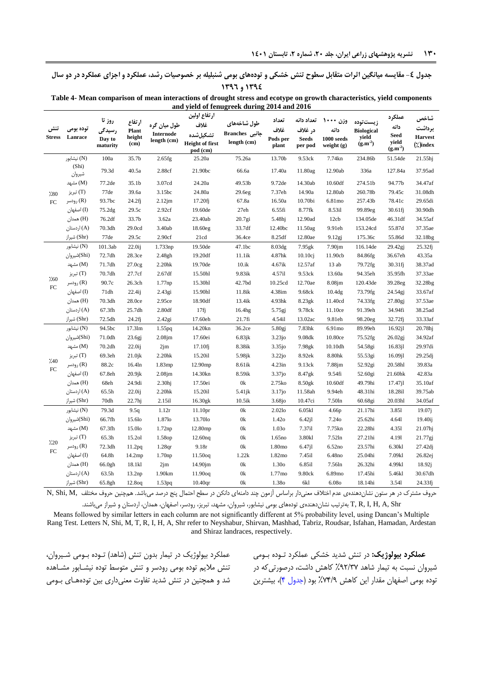<span id="page-9-0"></span>**جدول -4 مقایسه میانگین اثرات متقابل سطوح تنش خشکی و تودههای بومی شنبلیله بر خصوصیات رشد، عملکرد و اجزای عملکرد در دو سال 0144 و 0149**

**Table 4- Mean comparison of mean interactions of drought stress and ecotype on growth characteristics, yield components and yield of fenugreek during 2014 and 2016**

|                    |                 |                  |                        |                                          | ارتفاع اولين                       |                               |                    | تعداد دانه   |                    |                            | عملكرد               | شاخص               |
|--------------------|-----------------|------------------|------------------------|------------------------------------------|------------------------------------|-------------------------------|--------------------|--------------|--------------------|----------------------------|----------------------|--------------------|
| تنش                | توده بومی       | روز تا<br>رسيدگى | ارتفاع                 | طول میان گره<br>Internode<br>length (cm) | غلاف                               | طول شاخەھاي                   | تعداد<br>غلاف      | در غلاف      | وزن ۱۰۰۰<br>دانه   | زيستتوده                   | دانه                 | برداشت             |
| <b>Stress</b>      | Lanrace         | Day to           | <b>Plant</b><br>height |                                          | تشكيل شده                          | Aranches جانبی<br>length (cm) | Pods per           | <b>Seeds</b> | 1000 seeds         | <b>Biological</b><br>yield | <b>Seed</b><br>yield | <b>Harvest</b>     |
|                    |                 | maturity         | (cm)                   |                                          | <b>Height of first</b><br>pod (cm) |                               | plant              | per pod      | weight $(g)$       | $(g.m^{-2})$               | $(g.m^{-2})$         | (* )index          |
|                    | (N) نیشابور     | 100a             | 35.7b                  | 2.65fg                                   | 25.20a                             | 75.26a                        | 13.70b             | 9.53ck       | 7.74kn             | 234.86b                    | 51.54de              | 21.55hj            |
|                    | (Shi)<br>شيروان | 79.3d            | 40.5a                  | 2.88cf                                   | 21.90bc                            | 66.6a                         | 17.40a             | 11.80ag      | 12.90ab            | 336a                       | 127.84a              | 37.95ad            |
|                    | (M) مشبهد       | 77.2de           | 35.1b                  | 3.07cd                                   | 24.20a                             | 49.53b                        | 9.72de             | 14.30ab      | 10.60df            | 274.51b                    | 94.77b               | 34.47af            |
| 7.80               | (T) تبريز       | 77de             | 39.6a                  | 3.15bc                                   | 24.80a                             | 29.6eg                        | 7.37eh             | 14.90a       | 12.80ab            | 260.78b                    | 79.45c               | 31.08dh            |
| ${\rm FC}$         | (R) رودسر       | 93.7bc           | $24.2f$ j              | $2.12$ jm                                | 17.20f                             | 67.8a                         | 16.50a             | 10.70bi      | 6.81 <sub>mo</sub> | 257.43b                    | 78.41c               | 29.65di            |
|                    | (I) اصفهان      | 75.2dg           | 29.5c                  | 2.92cf                                   | 19.60de                            | 27eh                          | 6.55fi             | 8.77fk       | 8.53il             | 99.89eg                    | 30.61fj              | 30.90dh            |
|                    | (H) همدان       | 76.2df           | 33.7b                  | 3.62a                                    | 23.40ab                            | 20.7gi                        | 5.48hj             | 12.90ad      | 12cb               | 134.05de                   | 46.31df              | 34.55af            |
|                    | (A) اردستان     | 70.3dh           | 29.0cd                 | 3.40ab                                   | 18.60eg                            | 33.7df                        | 12.40bc            | 11.50ag      | 9.91eh             | 153.24cd                   | 55.87d               | 37.35ae            |
|                    | (Shr) شيراز     | 77de             | 29.5c                  | 2.90cf                                   | 21cd                               | 36.4ce                        | 8.25df             | 12.80ae      | 9.12gj             | 175.36c                    | 55.86d               | 32.18bg            |
|                    | (N) نيشابور     | 101.3ab          | 22.0 <sub>ij</sub>     | 1.733np                                  | 19.50de                            | 47.1bc                        | 8.03dg             | $7.95$ gk    | 7.90 <sub>jm</sub> | 116.14de                   | 29.42gj              | 25.32f             |
|                    | (Shi)شيروان     | 72.7dh           | 28.3ce                 | 2.48gh                                   | 19.20df                            | 11.1ik                        | 4.87hk             | $10.10c$ j   | 11.90cb            | 84.86fg                    | 36.67eh              | 43.35a             |
|                    | (M) مشىھد       | 71.7dh           | 27.0cg                 | 2.20hk                                   | 19.70de                            | 10.ik                         | 4.67ik             | 12.57af      | 13ab               | 79.72fg                    | $30.31$ fj           | 38.37ad            |
|                    | (T) تبريز       | 70.7dh           | 27.7cf                 | 2.67df                                   | 15.50hl                            | 9.83ik                        | 4.57il             | 9.53ck       | 13.60a             | 94.35eh                    | 35.95fh              | 37.33ae            |
| 7.60<br>${\rm FC}$ | (R) رودسر       | 90.7c            | 26.3ch                 | 1.77np                                   | 15.30hl                            | 42.7bd                        | 10.25cd            | 12.70ae      | 8.08jm             | 120.43de                   | 39.28eg              | 32.28bg            |
|                    | (I) اصفهان      | 71dh             | 22.4 <sub>ij</sub>     | 2.43gi                                   | 15.90hl                            | 11.8ik                        | 4.38im             | 9.68ck       | 10.4 <sub>dg</sub> | 73.79fg                    | 24.54gj              | 33.67af            |
|                    | (H) همدان       | 70.3dh           | 28.0ce                 | 2.95ce                                   | 18.90df                            | 13.4ik                        | 4.93hk             | 8.23gk       | 11.40cd            | 74.33fg                    | 27.80gj              | 37.53ae            |
|                    | (A) اردستان     | 67.3fh           | 25.7dh                 | 2.80df                                   | $17f$ j                            | 16.4hg                        | 5.75gj             | 9.78ck       | 11.10ce            | 91.39eh                    | 34.94fi              | 38.25ad            |
|                    | (Shr) شیراز     | 72.5dh           | $24.2f$ j              | 2.42gi                                   | 17.60eh                            | 21.7fi                        | 4.54il             | 13.02ac      | 9.81eh             | 98.20eg                    | 32.72fj              | 33.33af            |
|                    | (N) نیشابور     | 94.5bc           | $17.3$ lm              | 1.55pq                                   | 14.20kn                            | 36.2ce                        | 5.80gj             | 7.83hk       | 6.91mo             | 89.99eh                    | $16.92$ jl           | 20.78hj            |
|                    | (Shi)شيروان     | 71.0dh           | 23.6gj                 | $2.08$ jm                                | 17.60ei                            | 6.83jk                        | $3.23j$ o          | 9.08dk       | 10.80ce            | 75.52fg                    | 26.02gi              | 34.92af            |
|                    | (M) مشبهد       | 70.2dh           | $22.0$ ij              | 2jm                                      | $17.10f$ j                         | 8.38ik                        | $3.35j$ o          | 7.98gk       | 10.10dh            | 54.58gi                    | 16.83jl              | 29.97di            |
|                    | (T) تبريز       | 69.3eh           | $21.0$ jk              | 2.20hk                                   | 15.20il                            | 5.98jk                        | $3.22j$ o          | 8.92ek       | 8.80hk             | 55.53gi                    | 16.09j1              | 29.25dj            |
| 7.40               | (R) رودسر       | 88.2c            | 16.4 <sub>ln</sub>     | 1.83mp                                   | 12.90mp                            | 8.61ik                        | 4.23in             | 9.13ck       | 7.88jm             | 52.92gi                    | 20.58hl              | 39.83a             |
| ${\rm FC}$         | (I) اصفهان      | 67.8eh           | $20.9$ jk              | $2.08$ jm                                | 14.30kn                            | 8.59ik                        | 3.37jo             | 8.47gk       | 9.54fi             | 52.60gi                    | 21.60hk              | 42.83a             |
|                    | (H) همدان       | 68eh             | 24.9di                 | 2.30 <sub>hj</sub>                       | 17.50ei                            | 0k                            | 2.75ko             | 8.50gk       | 10.60df            | 49.79hi                    | 17.47j1              | $35.10\mathrm{af}$ |
|                    | (A) اردستان     | 65.5h            | $22.0$ ij              | 2.20hk                                   | 15.20il                            | $5.41$ jk                     | $3.17$ jo          | 11.58ah      | 9.94eh             | 48.31hi                    | 18.28il              | 39.75ab            |
|                    | (Shr) شیراز     | 70dh             | 22.7 <sub>hj</sub>     | 2.15il                                   | 16.30gk                            | 10.5ik                        | 3.68jo             | 10.47ci      | 7.50ln             | 60.68gi                    | 20.03hl              | 34.05af            |
|                    | (N) نیشابور     | 79.3d            | 9.5q                   | 1.12r                                    | 11.10pr                            | 0 <sup>k</sup>                | 2.02lo             | 6.05kl       | 4.66p              | 21.17hi                    | 3.851                | 19.07j             |
|                    | (Shi)شيروان     | 66.7fh           | 15.6lo                 | 1.87lo                                   | 13.70lo                            | 0k                            | 1.420              | 6.42j1       | 7.240              | 25.62hi                    | 4.641                | 19.40ij            |
|                    | (M) مشبهد       | 67.3fh           | 15.0lo                 | $1.72$ np                                | 12.80mp                            | 0k                            | 1.030              | 7.37il       | 7.75kn             | 22.28hi                    | 4.351                | $21.07$ hj         |
|                    | (T) تبريز       | 65.3h            | 15.2ol                 | 1.58op                                   | 12.60 <sub>ng</sub>                | 0k                            | 1.65 <sub>no</sub> | 3.80kl       | 7.52ln             | 27.21hi                    | 4.191                | 21.77gj            |
| $\frac{7}{20}$     | (R) رودسر       | 72.3dh           | 11.2pq                 | 1.28 <sub>qr</sub>                       | 9.18r                              | 0k                            | 1.80mo             | $6.47$ jl    | 6.52no             | 23.57hi                    | 6.30kl               | $27.42d$ j         |
| ${\rm FC}$         | (I) اصفهان      | 64.8h            | 14.2mp                 | 1.70 <sub>np</sub>                       | $11.50$ oq                         | 1.22k                         | 1.82mo             | 7.45il       | 6.48no             | 25.04hi                    | 7.09kl               | 26.82ej            |
|                    | (H) همدان       | 66.0gh           | 18.1kl                 | 2jm                                      | 14.90jm                            | 0k                            | 1.300              | 6.85il       | 7.56ln             | 26.32hi                    | 4.99kl               | 18.92j             |
|                    | (A) اردستان     | 63.5h            | 13.2 <sub>np</sub>     | 1.90km                                   | 11.90oq                            | 0k                            | 1.77mo             | 9.80ck       | 6.89mo             | 17.45hi                    | 5.46kl               | 30.67dh            |
|                    | (Shr) شيراز     | 65.8gh           | 12.8 <sub>oq</sub>     | 1.53pq                                   | 10.40 <sub>qr</sub>                | 0k                            | 1.380              | 6kl          | 6.080              | 18.14hi                    | 3.541                | 24.33fj            |

حروف مشترک در هر ستون نشاندهندهی عدم اختلاف معنیدار براساس آزمون چند دامنهای دانکن در سطح احتمال پنج درصد میباشد. همچنین حروف مختلف M, Shi, M,

T, R, I, H, A, Shr بهترتیب نشاندهندهی تودههای بومی نیشابور، شیروان، مشهد، تبریز، رودسر، اصفهان، همدان، اردستان و شیراز میباشند.

Means followed by similar letters in each column are not significantly different at 5% probability level, using Dancan's Multiple Rang Test. Letters N, Shi, M, T, R, I, H, A, Shr refer to Neyshabur, Shirvan, Mashhad, Tabriz, Roudsar, Isfahan, Hamadan, Ardestan and Shiraz landraces, respectively.

عملکرد بیولوژیک در تیمار بدون تنش (شاهد) تـوده بـومی شـیروان، تنش ملایم توده بومی رودسر و تنش متوسط توده نیشـابور مشـاهده شد و همچنین در تنش شدید تفاوت معنیداری بین تودههای بومی

**عملکرد بیولوژیک:** در تنش شدید خشکی عملکرد تکوده بکومی شیروان نسبت به تیمار شاهد ۹۲/۳۷٪ کاهش داشت، درصورتی که در توده بومی اصفهان مقدار این کاهش ۷۴/۹٪ بود (جدول ۴)، بیشترین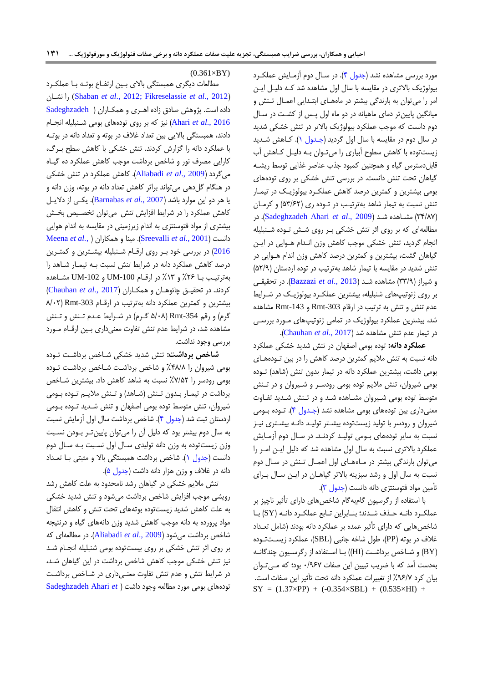مورد بررسی مشاهده نشد (جدول ۴). در سال دوم آزمـایش عملکـرد بیویو یک باالتری در مقایسه با سال اول مشاهده شد ککه دییکل ایکن امر را میتوان به بارندگی بیشتر در ماههای ابتدایی اعمال تنش و میانگین پایینتر دمای ماهیانه در دو ماه اول پکس از کشت در سال دوم دانست که موجب عملکرد بیولوژیک بالاتر در تنش خشکی شدید در سال دوم در مقایسه با سال اول گردید )[جکدول 7\(.](#page-4-0) ککاهش شکدید یستتوده با کاهش سطوح آبیاری را میتکوان بکه دییکل ککاهش آب قابلدسترس گیاه و همچنین کمبود جذب عناصر غذایی توسط ریشـه گیاهان تحت تنش دانست. در بررسی تنش خشکی بر روی تودههای بومی بیشترین و کمترین درصد کاهش عملکرد بیولوژیک در تیمـار تنش نسبت به تیمار شاهد بهترتیکب در تکوده ری ) 59/26( و کرمکان در .([Sadeghzadeh Ahari](#page-14-3) *et al*., 2009 ( شکد مشکاهده( 91/01) مطالعهای که بر روی اثر تنش خشکی بر روی شش تـوده شـنبلیله انجام گردید، تنش خشکی موجب کاهش وزن انـدام هـوایی در ایـن گیاهان گشت، بیشترین و کمترین درصد کاهش وزن اندام هـوایی در تنش شدید در مقایسه با تیمار شاهد بهترتیب در توده اردستان (۵۲/۹) و شیراز (٣٣/٩) مشاهده شـد (Bazzazi et al., 2013). در تحقیقهی بر روی ژنوتیپهای شنبلیله، بیشترین عملکرد بیولوژیک در شـرایط عدم تنش و تنش به ترتیب در ار ام -303Rmt و -143Rmt مشاهده شد، بیشترین عملکرد بیولوژیک در تمامی ژنوتیپهای مـورد بررسـی در تیمار عدم تنش مشاهده شد )2017 .,*al et* [Chauhan](#page-14-19)).

عملکرد دانه: توده بومی اصفهان در تنش شدید خشکی عملکرد دانه نسبت به تنش ملایم کمترین درصد کاهش را در بین تـودههـای بومی داشت، بیشترین عملکرد دانه در تیمار بدون تنش (شاهد) تـوده بومی شیروان، تنش مالیم توده بومی رودسکر و شکیروان و در تکنش متوسط توده بومی شیروان مشاهده شد و در تنش شدید تفاوت معنیداری بین تودههای بومی مشاهده نشد (جـدول ۴). تــوده بــومی شیروان و رودسر با تولید زیستتوده بیشـتر تولیـد دانـه بیشـتری نیـز نسبت به سایر تودههای بومی تولیـد کردنـد. در سـال دوم آزمـایش عملکرد بالاتری نسبت به سال اول مشاهده شد که دلیل ایـن امـر را می توان بارندگی بیشتر در ماههای اول اعمال تنش در سال دوم نسبت به سال اول و رشد سبزینه بالاتر گیاهـان در ایــن سـال بــرای تأمین مواد فتوسنتزی دانه دانست (جدول ٣).

با استفاده از رگرسیون گامبهگام شاخصهای دارای تأثیر ناچیز بر عملککرد دانکه حکذف شکدند؛ بنکابراین تکابر عملککرد دانکه )SY )بکا شاخصهایی که دارای تأثیر عمده بر عملکرد دانه بودند (شامل تعـداد غالف در بوته )PP)، طول شاخه جانبی )SBL)، عملکرد یسکت تکوده )BY )و شکاخص برداشکت )HI ))بکا اسک اده ا رگرسکیون چندگانکه بهدست آمد که با ضریب تبیین این صفات ۰/۹۶۷ بود؛ که می توان بیان کرد %92/1 از تغییرات عملکرد دانه تحت تأثیر این صفات است.  $SY = (1.37 \times PP) + (-0.354 \times SBL) + (0.535 \times HI) +$ 

 $(0.361\times BY)$ 

مطالعات دیگری همبستگی بالای بین ارتفاع بوتـه بـا عملكـرد نشکان را) [Shaban](#page-15-3) *et al*., 2012[; Fikreselassie](#page-14-8) *et al*., 2012( داده است. پژوهش صادق زاده اهری و همکاران ( Sadeghzadeh 2016 .,*al et* Ahari )نی که بر روی تودههای بومی شکنبلیله انجکام دادند، همبستگی بالایی بین تعداد غلاف در بوته و تعداد دانه در بوتـه با عملکرد دانه را گزارش کردند. تنش خشکی با کاهش سطح برگ، کارایی مصرف نور و شاخص برداشت موجب کاهش عملکرد ده گیک اه میگردد )2009 .,*al et* [Aliabadi](#page-13-4)). کاهش عملکرد در تنش خشکی در هنگام گلدهی میتواند براثر کاهش تعداد دانه در بوته، وزن دانه و یا هر دو این موارد باشد )2007 .,*al et* [Barnabas](#page-13-10)). یکک ی ا دالیک ل کاهش عملکرد را در شرایط افزایش تنش میتوان تخصیص بخش بیشتری از مواد فتوسنتزی به اندام زیرزمینی در مقایسه به اندام هوایی [Meena](#page-14-21) *et al.,* [\(](#page-14-21) همکاران و مینا .([Sreevalli](#page-15-4) *et al*., 2001( دانست [2016](#page-14-21)) در بررسی خود بـر روی ارقـام شـنبلیله بیشـترین و کمتـرین درصد کاهش عملکرد دانه در شرایط تنش نسبت بـه تیمـار شـاهد را بهترتیکب بکا %62 و %79 در ار کام -100UM و -102UM مشکاهده کردند. در تحقیکق چائوهکان و همککاران ) 2017 *.,al et* [Chauhan](#page-14-19) ) بیشترین و کمترین عملکرد دانه بهترتیب در ارقام 303-Rmt (۸/۰۲ گرم) و رقم Rmt-354 (۵/۰۸ گـرم) در شـرایط عـدم تـنش و تـنش مشاهده شد، در شرایط عدم تنش تفاوت معنیداری بین ارقام مورد بررسی وجود نداشت.

**شاخص برداشت:** تنش شدید خشکی شکاخص برداشکت تکوده بومی شیروان را %10/0 و شاخص برداشکت شکاخص برداشکت تکوده بومی رودسر را ۷/۵۲٪ نسبت به شاهد کاهش داد. بیشترین شـاخص برداشت در تیمـار بـدون تـنش (شـاهد) و تـنش ملایـم تـوده بـومی شیروان، تنش متوسط توده بومی اصفهان و تنش شـدید تـوده بـومی اردستان ثبت شد (جدول ۴). شاخص برداشت سال اول آزمایش نسبت به سال دوم بیشتر بود که دلیل آن را میتوان پایین تـر بـودن نسـبت وزن زیستتوده به وزن دانه تولیدی سـال اول نسـبت بـه سـال دوم دانست (جدول ۱). شاخص برداشت همبستگی بالا و مثبتی بـا تعـداد دانه در غلاف و وزن هزار دانه داشت (جدول ۵).

تنش مالیم خشکی در گیاهان رشد نامحدود به علت کاهش رشد رویشی موجب افزایش شاخص برداشت می شود و تنش شدید خشکی به علت کاهش شدید زیستتوده بوتههای تحت تنش و کاهش انتقال مواد پرورده به دانه موجب کاهش شدید وزن دانههای گیاه و درنتیجه شاخص برداشت میشود )2009 .,*al et* [Aliabadi](#page-13-4)). در مطایعهای که بر روی اثر تنش خشکی بر روی بیستتوده بومی شنبلیله انجکام شکد نی تنش خشکی موجب کاهش شاخص برداشت در این گیاهان شکد، در شرایط تنش و عدم تنش تفاوت معنےداری در شـاخص برداشـت تودههایبومی مورد مطالعه وجود داشت *( Sadeghzadeh Ahari et*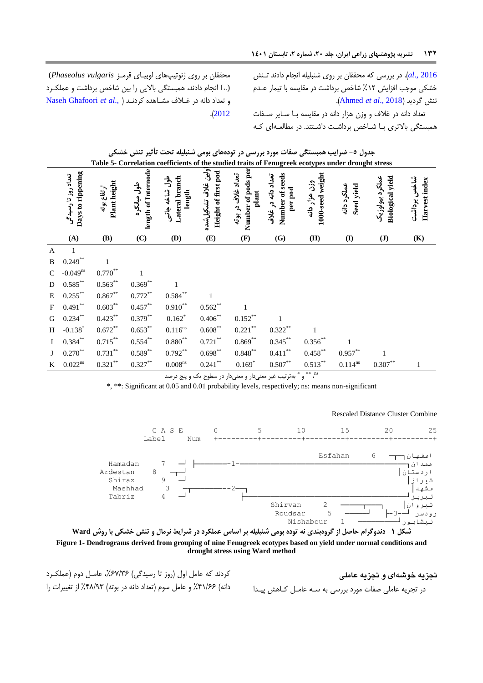محققان بر روی نوتیپهای یوبیکای رمک *vulgaris Phaseolus*( (.L انجام دادند، همبس گی باالیی را بین شاخص برداشت و عملککرد و تعداد دانه در غکالف مشکاهده کردن[کد](#page-14-14) ) .,*al et* [Ghafoori Naseh](#page-14-14) .)[2012](#page-14-14)

[2016 .,](#page-15-5)*al*[\).](#page-15-5) در بررسی که محققان بر روی شنبلیله انجام دادند تکنش خشکی موجب افزایش ۱۲٪ شاخص برداشت در مقایسه با تیمار عـدم .)[Ahmed](#page-13-9) *et al*., 2018( گردید تنش

<span id="page-11-0"></span>تعداد دانه در غلاف و وزن هزار دانه در مقایسه با سـایر صـفات همبستگی بالاتری بـا شـاخص برداشـت داشـتند. در مطالعـهای کـه

|              |                                          |                             |                                    | جدول ٥- ضرایب همبستگی صفات مورد بررسی در تودههای بومی شنبلیله تحت تأثیر تنش خشکی                   |                                            |                                                   |                                                  |                                   |                           |                                            |                              |
|--------------|------------------------------------------|-----------------------------|------------------------------------|----------------------------------------------------------------------------------------------------|--------------------------------------------|---------------------------------------------------|--------------------------------------------------|-----------------------------------|---------------------------|--------------------------------------------|------------------------------|
|              |                                          |                             |                                    | Table 5- Correlation coefficients of the studied traits of Fenugreek ecotypes under drought stress |                                            |                                                   |                                                  |                                   |                           |                                            |                              |
|              | Days to rippening<br>تعداد روز تا رسیدگی | Plant height<br>ارتفاع پوته | length of Internode<br>طول ميانگره | Lateral branch<br>طول شاخه جانبى<br>length                                                         | ولين غلاف تشكيل شده<br>Height of first pod | Number of pods per<br>تعداد غلاف در بوته<br>plant | Number of seeds<br>تعداد دانه در غلاف<br>per pod | 1000-seed weight<br>وزن هزار دانه | عملكرد دانه<br>Seed yield | <b>Biological yield</b><br>عملكرد بيولوژيک | شاخص برداشت<br>Harvest index |
|              | (A)                                      | <b>(B)</b>                  | (C)                                | (D)                                                                                                | (E)                                        | (F)                                               | (G)                                              | (H)                               | $\bf(I)$                  | $(\mathbf{J})$                             | (K)                          |
| $\mathbf{A}$ | -1                                       |                             |                                    |                                                                                                    |                                            |                                                   |                                                  |                                   |                           |                                            |                              |
| $\, {\bf B}$ | $0.249***$                               | 1                           |                                    |                                                                                                    |                                            |                                                   |                                                  |                                   |                           |                                            |                              |
| ${\bf C}$    | $-0.049^{ns}$                            | $0.770***$                  | 1                                  |                                                                                                    |                                            |                                                   |                                                  |                                   |                           |                                            |                              |
| ${\bf D}$    | $0.585^{\ast\ast}$                       | $0.563***$                  | $0.369**$                          | $\mathbf{1}$                                                                                       |                                            |                                                   |                                                  |                                   |                           |                                            |                              |
| $\mathbf E$  | $0.255^{\ast\ast}$                       | $0.867^{\ast\ast}$          | $0.772^{\ast\ast}$                 | $0.584^{\ast\ast}$                                                                                 |                                            |                                                   |                                                  |                                   |                           |                                            |                              |
| ${\bf F}$    | $0.491***$                               | $0.603***$                  | $0.457***$                         | $0.910***$                                                                                         | $0.562**$                                  | 1                                                 |                                                  |                                   |                           |                                            |                              |
| G            | $0.234***$                               | $0.423***$                  | $0.379**$                          | $0.162*$                                                                                           | $0.406**$                                  | $0.152***$                                        |                                                  |                                   |                           |                                            |                              |
| H            | $-0.138*$                                | $0.672**$                   | $0.653***$                         | $0.116^{\rm ns}$                                                                                   | $0.608^{\ast\ast}$                         | $0.221$ **                                        | $0.322**$                                        |                                   |                           |                                            |                              |
| $\bf{I}$     | $0.384***$                               | $0.715***$                  | $0.554***$                         | $0.880^{**}$                                                                                       | $0.721\overset{**}{ }$                     | $0.869***$                                        | $0.345***$                                       | $0.356^{\ast\ast}$                |                           |                                            |                              |
| J            | $0.270**$                                | $0.731^{\ast\ast}$          | $0.589^{**}$                       | $0.792**$                                                                                          | $0.698^{\ast\ast}$                         | $0.848^{\ast\ast}$                                | $0.411^{\ast\ast}$                               | $0.458$ **                        | $0.957***$                |                                            |                              |
| K            | $0.022^{ns}$                             | $0.321^{\ast\ast}$          | $0.327^{\ast\ast}$                 | $0.008^{\rm ns}$                                                                                   | $0.241^{\ast\ast}$                         | $0.169*$                                          | $0.507^{\ast\ast}$                               | $0.513***$                        | $0.114^{\rm ns}$          | $0.307^{\ast\ast}$                         | $\mathbf{1}$                 |

" \* \* و \* بهترتیب غیر معنیدار و معنیدار در سطوح یک و پنج درصد

\*, \*\*: Significant at 0.05 and 0.01 probability levels, respectively; ns: means non-significant

<span id="page-11-1"></span>Rescaled Distance Cluster Combine





**تجزیه خوشهای و تجزیه عاملی** در تجزیه عاملی صفات مورد بررسی به سـه عامـل کـاهش پیـدا

کردند که عامل اول (روز تا رسیدگی) ۶۷/۳۶٪، عامـل دوم (عملکـرد دانه) ۶۶//۶۶٪ و عامل سوم (تعداد دانه در بوته) ۴۸/۹۳٪ از تغییرات را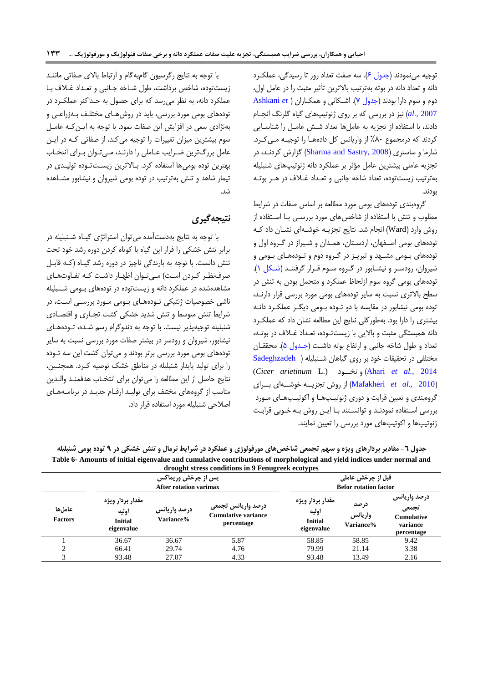توجیه می نمودند (جدول ۶). سه صفت تعداد روز تا رسیدگی، عملک رد دانه و تعداد دانه در بوته بهترتیب بالاترین تأثیر مثبت را در عامل اول، دوم و سوم دارا بودند [\)جدول 1\(.](#page-13-11) اشککانی و همککارا[ن](#page-13-12) ) *et* [Ashkani](#page-13-12) [2007 .,](#page-13-12)*al* )نی در بررسی که بر روی نوتیپهای گیاه گلرن انجکام دادند، با استفاده از تجزیه به عاملها تعداد شش عامل را شناسایی کردند که درمجموع %09 ا واریانس کل دادههکا را توجیکه مکی ککرد. شارما و ساستری (Sharma and Sastry, 2008) گزارش کردنـد، در تجزیه عاملی بیشترین عامل مؤثر بر عملکرد دانه ژنوتیپهای شنبلیله بهترتیب یستتوده، تعداد شاخه جانبی و تعکداد غکالف در هکر بوتکه بودند.

<span id="page-12-0"></span>گروهبندی تودههای بومی مورد مطالعه بر اساس صفات در شرایط مطلوب و تنش با استفاده از شاخصهای مورد بررسبی بـا اسـتفاده از روش وارد (Ward) انجام شد. نتایج تجزیـه خوشـهای نشـان داد کـه تودههای بومی اصـفهان، اردسـتان، همـدان و شـیراز در گـروه اول و تودههای بـومی مشـهد و تبریـز در گـروه دوم و تـودههـای بـومی و شیروان، رودسر و نیشابور در گروه سوم قرار گرفتند (شکل ۱). تودههای بومی گروه سوم ازلحاظ عملکرد و متحمل بودن به تنش در سطح بالاتری نسبت به سایر تودههای بومی مورد بررسی قرار دارنـد، توده بومی نیشابور در مقایسه با دو تـوده بـومی دیگـر عملکـرد دانـه بیشتری را دارا بود. بهطورکلی نتایج این مطالعه نشان داد که عملک رد دانه همبستگی مثبت و بالایی با زیستتوده، تعداد غـلاف در بوتـه، تعداد و طول شاخه جانبی و ارتفاع بوته داشت (جـدول ۵). محققـان ما ل ی در تحقیقات خود بر روی گیاهان شکنبلیله [\)](#page-14-3) [Sadeghzadeh](#page-14-3) (*Cicer arietinum* L.) ناککود و( Ahari *[et al.,](#page-14-3)* 2014 )2010 *.,al et* [Mafakheri](#page-14-13) )ا روش تج یککه خوشککهای بککرای گروهبندی و تعیین قرابت و دوری ژنوتیـپهـا و اکوتیـپهـای مـورد بررسی استفاده نمودنـد و توانسـتند بـا ایـن روش بـه خـوبی قرابـت نوتیپها و اکوتیپهای مورد بررسی را تعیین نمایند.

با توجه به نتایج رگرسیون گامبهگام و ارتباط بالای صفاتی ماننـد یستتوده، شاخص برداشت، طول شکاخه جکانبی و تعکداد غکالف بکا عملکرد دانه، به نظر میرسد که برای حصول به حـداکثر عملکـرد در تودههای بومی مورد بررسی، باید در روشهـای مختلـف بـهزراعـی و بهنژادی سعی در افزایش این صفات نمود. با توجه به ایـن کـه عامـل سوم بیشترین میزان تغییرات را توجیه می کند، از صفاتی کـه در ایـن عامل بزرگترین ضـرایب عــاملی را دارنـد، مــی تـوان بــرای انتخــاب بهترین توده بومی ها استفاده کرد. بـالاترین زیسـتتـوده تولیـدی در تیمار شاهد و تنش بهترتیب در توده بومی شیروان و نیشابور مشکاهده شد.

## **نتیجهگیری**

با توجه به نتایج بهدستآمده می توان استراتژی گیاه شـنبلیله در برابر تنش خشکی را فرار این گیاه با کوتاه کردن دوره رشد خود تحت تنش دانست. با توجه به بارندگی ناچیز در دوره رشد گیـاه (کـه قابـل صرفنظر کردن است) میتوان اظهار داشت که تفاوتهای مشاهدهشده در عملکرد دانه و زیستتوده در تودههای بـومی شـنبلیله ناشی خصوصیات ژنتیکی تـودههـای بـومی مـورد بررسـی اسـت، در شرایط تنش متوسط و تنش شدید خشکی کشت تجـاری و اقتصـادی شنبلیله توجیهپذیر نیست. با توجه به دندوگرام رسم شکده، تکوده هکای نیشابور، شیروان و رودسر در بیشتر صفات مورد بررسی نسبت به سایر تودههای بومی مورد بررسی برتر بودند و میتوان کشت این سه تکوده را برای تولید پایدار شنبلیله در مناطق خشک توصیه کرد. همچنین، نتایج حاصل از این مطالعه را میتوان برای انتخـاب هدفمنـد والـدین مناسب از گروههای مختلف برای تولید ارقام جدید در برنامههای اصلاحی شنبلیله مورد استفاده قرار داد.

**جدول -9 مقادیر بردارهای ویژه و سهم تجمعی شاخصهای مورفولوژی و عملکرد در شرایط نرمال و تنش خشکی در 4 توده بومی شنبلیله Table 6- Amounts of initial eigenvalue and cumulative contributions of morphological and yield indices under normal and drought stress conditions in 9 Fenugreek ecotypes**

|                          |                                                           | <b>پس از چرخش وریماکس</b><br><b>After rotation varimax</b> | $\ldots$ , $\ldots$ , $\ldots$ , $\ldots$ , $\ldots$ , $\ldots$ , $\ldots$ , $\ldots$ , $\ldots$ , $\ldots$ , $\ldots$ , $\ldots$ , $\ldots$ , $\ldots$ , $\ldots$ , $\ldots$ , $\ldots$ , $\ldots$ , $\ldots$ , $\ldots$ , $\ldots$ , $\ldots$ , $\ldots$ , $\ldots$ , $\ldots$ , $\ldots$ , $\ldots$ , $\ldots$ , $\ldots$ , $\ldots$ , $\ldots$ , $\ldots$ |                                                           | قبل از چرخش عامل <i>ی</i><br><b>Befor rotation factor</b> |                                                                      |
|--------------------------|-----------------------------------------------------------|------------------------------------------------------------|---------------------------------------------------------------------------------------------------------------------------------------------------------------------------------------------------------------------------------------------------------------------------------------------------------------------------------------------------------------|-----------------------------------------------------------|-----------------------------------------------------------|----------------------------------------------------------------------|
| عاملها<br><b>Factors</b> | مقدار بردار ويژه<br>اوليه<br><b>Initial</b><br>eigenvalue | درصد واريانس<br><b>Variance%</b>                           | درصد واريانس تجمعى<br><b>Cumulative variance</b><br>percentage                                                                                                                                                                                                                                                                                                | مقدار بردار ويژه<br>اوليه<br><b>Initial</b><br>eigenvalue | درصد<br>واريانس<br>Variance%                              | درصد واريانس<br>تجمعى<br><b>Cumulative</b><br>variance<br>percentage |
|                          | 36.67                                                     | 36.67                                                      | 5.87                                                                                                                                                                                                                                                                                                                                                          | 58.85                                                     | 58.85                                                     | 9.42                                                                 |
|                          | 66.41                                                     | 29.74                                                      | 4.76                                                                                                                                                                                                                                                                                                                                                          | 79.99                                                     | 21.14                                                     | 3.38                                                                 |
| $\sim$                   | 93.48                                                     | 27.07                                                      | 4.33                                                                                                                                                                                                                                                                                                                                                          | 93.48                                                     | 13.49                                                     | 2.16                                                                 |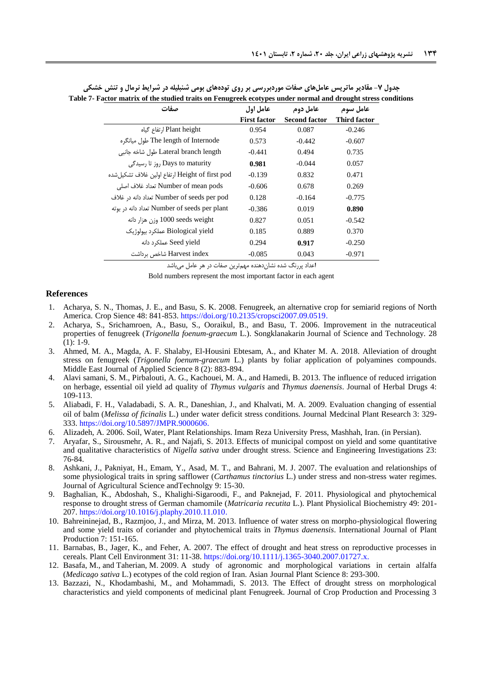<span id="page-13-11"></span>

| صفات                                            | عامل اول            | عامل دوم             | عامل سوم            |
|-------------------------------------------------|---------------------|----------------------|---------------------|
|                                                 | <b>First factor</b> | <b>Second factor</b> | <b>Third factor</b> |
| Plant height ارتفاع گیاہ                        | 0.954               | 0.087                | $-0.246$            |
| The length of Internode طول میانگرہ             | 0.573               | $-0.442$             | $-0.607$            |
| Lateral branch length طول شاخه جانبی            | $-0.441$            | 0.494                | 0.735               |
| Days to maturity , وزتا رسیدگی                  | 0.981               | $-0.044$             | 0.057               |
| Height of first pod ارتفاع اولین غلاف تشکیل شده | $-0.139$            | 0.832                | 0.471               |
| Number of mean pods تعداد غلاف اصلي             | $-0.606$            | 0.678                | 0.269               |
| Number of seeds per pod تعداد دانه در غلاف      | 0.128               | $-0.164$             | $-0.775$            |
| Number of seeds per plant تعداد دانه در بوته    | $-0.386$            | 0.019                | 0.890               |
| 1000 seeds weight وزن هزار دانه                 | 0.827               | 0.051                | $-0.542$            |
| Biological yield عملکرد بیولوژیک                | 0.185               | 0.889                | 0.370               |
| Seed yield عملکرد دانه                          | 0.294               | 0.917                | $-0.250$            |
| Harvest index شاخص برداشت                       | $-0.085$            | 0.043                | $-0.971$            |

**جدول -7 مقادیر ماتریس عاملهای صفات موردبررسی بر روی تودههای بومی شنبلیله در شرایط نرمال و تنش خشکی Table 7- Factor matrix of the studied traits on Fenugreek ecotypes under normal and drought stress conditions**

اعداد پررنگ شده نشان دهنده مهمترین صفات در هر عامل میباشد

Bold numbers represent the most important factor in each agent

#### **References**

- 1. Acharya, S. N., Thomas, J. E., and Basu, S. K. 2008. Fenugreek, an alternative crop for semiarid regions of North America. Crop Sience 48: 841-853[. https://doi.org/10.2135/cropsci2007.09.0519.](https://doi.org/10.2135/cropsci2007.09.0519)
- <span id="page-13-2"></span>2. Acharya, S., Srichamroen, A., Basu, S., Ooraikul, B., and Basu, T. 2006. Improvement in the nutraceutical properties of fenugreek (*Trigonella foenum-graecum* L.). Songklanakarin Journal of Science and Technology. 28  $(1): 1-9.$
- <span id="page-13-9"></span>3. Ahmed, M. A., Magda, A. F. Shalaby, El-Housini Ebtesam, A., and Khater M. A. 2018. Alleviation of drought stress on fenugreek (*Trigonella foenum-graecum* L.) plants by foliar application of polyamines compounds. Middle East Journal of Applied Science 8 (2): 883-894.
- <span id="page-13-5"></span>4. Alavi samani, S. M., Pirbalouti, A. G., Kachouei, M. A., and Hamedi, B. 2013. The influence of reduced irrigation on herbage, essential oil yield ad quality of *Thymus vulgaris* and *Thymus daenensis*. Journal of Herbal Drugs 4: 109-113.
- <span id="page-13-4"></span>5. Aliabadi, F. H., Valadabadi, S. A. R., Daneshian, J., and Khalvati, M. A. 2009. Evaluation changing of essential oil of balm (*Melissa of ficinalis* L.) under water deficit stress conditions. Journal Medcinal Plant Research 3: 329- 333. [https://doi.org/10.5897/JMPR.9000606.](https://doi.org/10.5897/JMPR.9000606)
- <span id="page-13-7"></span>6. Alizadeh, A. 2006. Soil, Water, Plant Relationships. Imam Reza University Press, Mashhah, Iran. (in Persian).
- <span id="page-13-8"></span>7. Aryafar, S., Sirousmehr, A. R., and Najafi, S. 2013. Effects of municipal compost on yield and some quantitative and qualitative characteristics of *Nigella sativa* under drought stress. Science and Engineering Investigations 23: 76-84.
- <span id="page-13-12"></span>8. Ashkani, J., Pakniyat, H., Emam, Y., Asad, M. T., and Bahrani, M. J. 2007. The evaluation and relationships of some physiological traits in spring safflower (*Carthamus tinctorius* L.) under stress and non-stress water regimes. Journal of Agricultural Science andTechnolgy 9: 15-30.
- <span id="page-13-0"></span>9. Baghalian, K., Abdoshah, S., Khalighi-Sigaroodi, F., and Paknejad, F. 2011. Physiological and phytochemical response to drought stress of German chamomile (*Matricaria recutita* L.). Plant Physiolical Biochemistry 49: 201- 207. [https://doi.org/10.1016/j.plaphy.2010.11.010.](https://doi.org/10.1016/j.plaphy.2010.11.010)
- <span id="page-13-1"></span>10. Bahreininejad, B., Razmjoo, J., and Mirza, M. 2013. Influence of water stress on morpho-physiological flowering and some yield traits of coriander and phytochemical traits in *Thymus daenensis*. International Journal of Plant Production 7: 151-165.
- <span id="page-13-10"></span>11. Barnabas, B., Jager, K., and Feher, A. 2007. The effect of drought and heat stress on reproductive processes in cereals. Plant Cell Environment 31: 11-38. [https://doi.org/10.1111/j.1365-3040.2007.01727.x.](https://doi.org/10.1111/j.1365-3040.2007.01727.x)
- <span id="page-13-6"></span>12. Basafa, M., and Taherian, M. 2009. A study of agronomic and morphological variations in certain alfalfa (*Medicago sativa* L.) ecotypes of the cold region of Iran. Asian Journal Plant Science 8: 293-300.
- <span id="page-13-3"></span>13. Bazzazi, N., Khodambashi, M., and Mohammadi, S. 2013. The Effect of drought stress on morphological characteristics and yield components of medicinal plant Fenugreek. Journal of Crop Production and Processing 3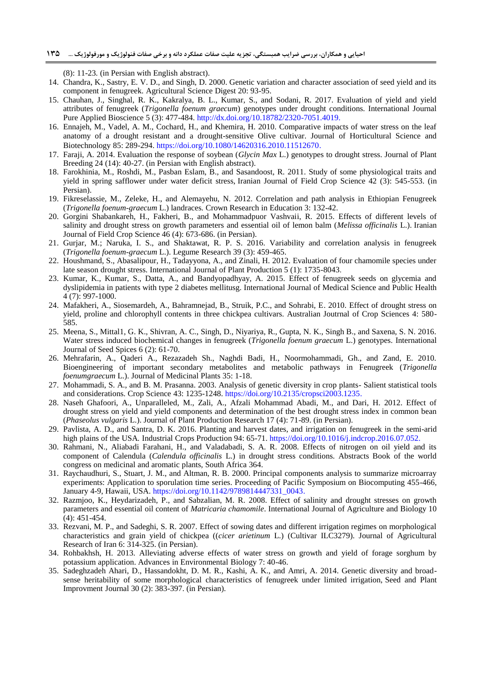(8): 11-23*.* (in Persian with English abstract).

- <span id="page-14-12"></span>14. Chandra, K., Sastry, E. V. D., and Singh, D. 2000. Genetic variation and character association of seed yield and its component in fenugreek. Agricultural Science Digest 20: 93-95.
- <span id="page-14-19"></span>15. Chauhan, J., Singhal, R. K., Kakralya, B. L., Kumar, S., and Sodani, R. 2017. Evaluation of yield and yield attributes of fenugreek (*Trigonella foenum graecum*) genotypes under drought conditions. International Journal Pure Applied Bioscience 5 (3): 477-484. http://dx.doi.org/10.18782/2320-7051.4019.
- <span id="page-14-4"></span>16. Ennajeh, M., Vadel, A. M., Cochard, H., and Khemira, H. 2010. Comparative impacts of water stress on the leaf anatomy of a drought resistant and a drought-sensitive Olive cultivar. Journal of Horticultural Science and Biotechnology 85: 289-294. [https://doi.org/10.1080/14620316.2010.11512670.](https://doi.org/10.1080/14620316.2010.11512670)
- <span id="page-14-15"></span>17. Faraji, A. 2014. Evaluation the response of soybean (*Glycin Max* L.) genotypes to drought stress. Journal of Plant Breeding 24 (14): 40-27. (in Persian with English abstract).
- <span id="page-14-18"></span>18. Farokhinia, M., Roshdi, M., Pasban Eslam, B., and Sasandoost, R. 2011. Study of some physiological traits and yield in spring safflower under water deficit stress, Iranian Journal of Field Crop Science 42 (3): 545-553. (in Persian).
- <span id="page-14-8"></span>19. Fikreselassie, M., Zeleke, H., and Alemayehu, N. 2012. Correlation and path analysis in Ethiopian Fenugreek (*Trigonella foenum-graecum* L.) landraces*.* Crown Research in Education 3: 132-42.
- <span id="page-14-11"></span>20. Gorgini Shabankareh, H., Fakheri, B., and Mohammadpuor Vashvaii, R. 2015. Effects of different levels of salinity and drought stress on growth parameters and essential oil of lemon balm (*Melissa officinalis* L.). Iranian Journal of Field Crop Science 46 (4): 673-686. (in Persian).
- <span id="page-14-10"></span>21. Gurjar, M.; Naruka, I. S., and Shaktawat, R. P. S. 2016. Variability and correlation analysis in fenugreek (*Trigonella foenum-graecum* L.). Legume Research 39 (3): 459-465.
- <span id="page-14-5"></span>22. Houshmand, S., Abasalipour, H., Tadayyona, A., and Zinali, H. 2012. Evaluation of four chamomile species under late season drought stress. International Journal of Plant Production 5 (1): 1735-8043.
- <span id="page-14-2"></span>23. Kumar, K., Kumar, S., Datta, A., and Bandyopadhyay, A. 2015. Effect of fenugreek seeds on glycemia and dyslipidemia in patients with type 2 diabetes mellitusg. International Journal of Medical Science and Public Health [4 \(7\):](http://www.scopemed.org/?jid=67&iid=2015-4-7.000) 997-1000.
- <span id="page-14-13"></span>24. Mafakheri, A., Siosemardeh, A., Bahramnejad, B., Struik, P.C., and Sohrabi, E. 2010. Effect of drought stress on yield, proline and chlorophyll contents in three chickpea cultivars. Australian Joutrnal of Crop Sciences 4: 580- 585.
- <span id="page-14-21"></span>25. Meena, S., Mittal1, G. K., Shivran, A. C., Singh, D., Niyariya, R., Gupta, N. K., Singh B., and Saxena, S. N. 2016. Water stress induced biochemical changes in fenugreek (*Trigonella foenum graecum* L.) genotypes. International Journal of Seed Spices 6 (2): 61-70.
- <span id="page-14-20"></span>26. Mehrafarin, A., Qaderi A., Rezazadeh Sh., Naghdi Badi, H., Noormohammadi, Gh., and Zand, E. 2010. Bioengineering of important secondary metabolites and metabolic pathways in Fenugreek (*Trigonella foenumgraecum* L.). Journal of Medicinal Plants 35: 1-18.
- <span id="page-14-9"></span>27. Mohammadi, S. A., and B. M. Prasanna. 2003. Analysis of genetic diversity in crop plants- Salient statistical tools and considerations. Crop Science 43: 1235-1248[. https://doi.org/10.2135/cropsci2003.1235.](https://doi.org/10.2135/cropsci2003.1235)
- <span id="page-14-14"></span>28. Naseh Ghafoori, A., Unparalleled, M., Zali, A., Afzali Mohammad Abadi, M., and Dari, H. 2012. Effect of drought stress on yield and yield components and determination of the best drought stress index in common bean (*Phaseolus vulgaris* L.). Journal of Plant Production Research 17 (4): 71-89. (in Persian).
- <span id="page-14-16"></span>29. Pavlista, A. D., and Santra, D. K. 2016. Planting and harvest dates, and irrigation on fenugreek in the semi-arid high plains of the USA. Industrial Crops Production 94: 65-71. [https://doi.org/10.1016/j.indcrop.2016.07.052.](https://doi.org/10.1016/j.indcrop.2016.07.052)
- <span id="page-14-6"></span>30. Rahmani, N., Aliabadi Farahani, H., and Valadabadi, S. A. R. 2008. Effects of nitrogen on oil yield and its component of Calendula (*Calendula officinalis* L.) in drought stress conditions. Abstracts Book of the world congress on medicinal and aromatic plants, South Africa 364.
- <span id="page-14-7"></span>31. Raychaudhuri, S., Stuart, J. M., and Altman, R. B. 2000. Principal components analysis to summarize microarray experiments: Application to sporulation time series. Proceeding of Pacific Symposium on Biocomputing 455-466, January 4-9, Hawaii, USA. [https://doi.org/10.1142/9789814447331\\_0043.](https://doi.org/10.1142/9789814447331_0043)
- <span id="page-14-1"></span>32. Razmjoo, K., Heydarizadeh, P., and Sabzalian, M. R. 2008. Effect of salinity and drought stresses on growth parameters and essential oil content of *Matricaria chamomile*. International Journal of [Agriculture](https://www.google.com/search?safe=active&rlz=1C1GGRV_enIR751IR751&q=Agricaltur&nfpr=1&sa=X&ved=0ahUKEwjXvILP7f3YAhVLblAKHdoBD3wQvgUIJSgB) and Biology 10 (4): 451-454.
- <span id="page-14-17"></span>33. Rezvani, M. P., and Sadeghi, S. R. 2007. Effect of sowing dates and different irrigation regimes on morphological characteristics and grain yield of chickpea ((*cicer arietinum* L.) (Cultivar ILC3279). Journal of Agricultural Research of Iran 6: 314-325. (in Persian).
- <span id="page-14-0"></span>34. Rohbakhsh, H. 2013. Alleviating adverse effects of water stress on growth and yield of forage sorghum by potassium application. Advances in Environmental Biology 7: 40-46.
- <span id="page-14-3"></span>35. Sadeghzadeh Ahari, D., Hassandokht, D. M. R., Kashi, A. K., and Amri, A. 2014. Genetic diversity and broadsense heritability of some morphological characteristics of fenugreek under limited irrigation, Seed and Plant Improvment Journal 30 (2): 383-397. (in Persian).